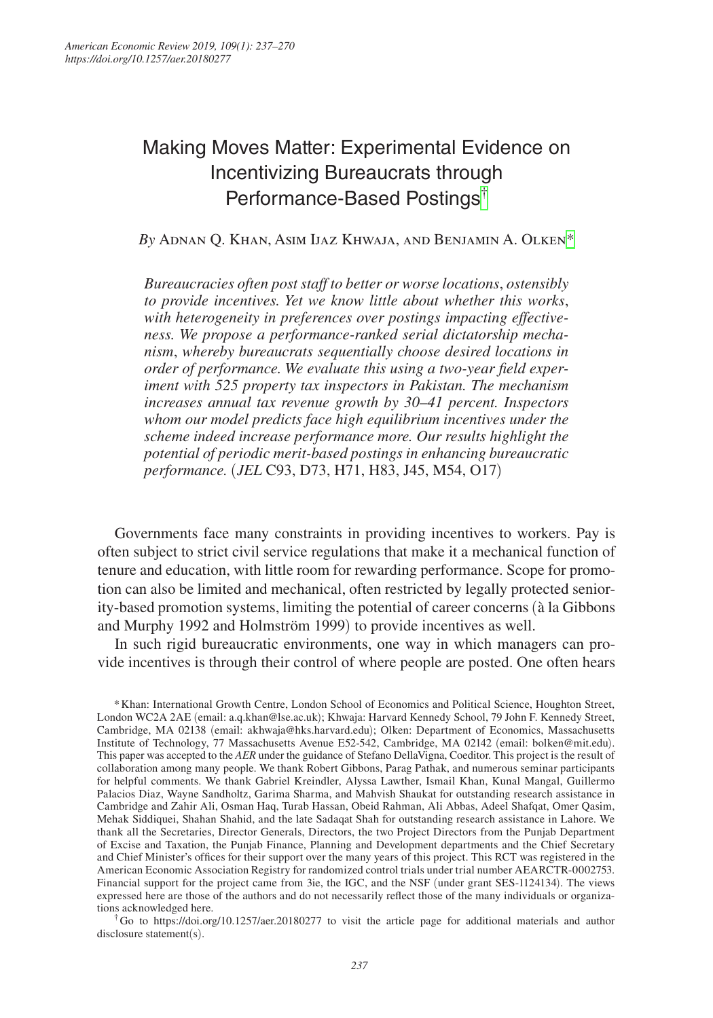# Making Moves Matter: Experimental Evidence on Incentivizing Bureaucrats through Performance-Based Postings[†](#page-0-0)

# *By* Adnan Q. Khan, Asim Ijaz Khwaja, and Benjamin A. Olke[n\\*](#page-0-1)

*Bureaucracies often post staff to better or worse locations*, *ostensibly to provide incentives. Yet we know little about whether this works*, *with heterogeneity in preferences over postings impacting effectiveness. We propose a performance-ranked serial dictatorship mechanism*, *whereby bureaucrats sequentially choose desired locations in order of performance. We evaluate this using a two-year field experiment with 525 property tax inspectors in Pakistan. The mechanism increases annual tax revenue growth by 30–41 percent. Inspectors whom our model predicts face high equilibrium incentives under the scheme indeed increase performance more. Our results highlight the potential of periodic merit-based postings in enhancing bureaucratic performance.* (*JEL* C93, D73, H71, H83, J45, M54, O17)

Governments face many constraints in providing incentives to workers. Pay is often subject to strict civil service regulations that make it a mechanical function of tenure and education, with little room for rewarding performance. Scope for promotion can also be limited and mechanical, often restricted by legally protected seniority-based promotion systems, limiting the potential of career concerns (à la Gibbons and Murphy 1992 and Holmström 1999) to provide incentives as well.

In such rigid bureaucratic environments, one way in which managers can provide incentives is through their control of where people are posted. One often hears

<span id="page-0-1"></span>\*Khan: International Growth Centre, London School of Economics and Political Science, Houghton Street, London WC2A 2AE (email: [a.q.khan@lse.ac.uk](mailto:a.q.khan@lse.ac.uk)); Khwaja: Harvard Kennedy School, 79 John F. Kennedy Street, Cambridge, MA 02138 (email: [akhwaja@hks.harvard.edu](mailto:akhwaja@hks.harvard.edu)); Olken: Department of Economics, Massachusetts Institute of Technology, 77 Massachusetts Avenue E52-542, Cambridge, MA 02142 (email: [bolken@mit.edu](mailto:bolken@mit.edu)). This paper was accepted to the *AER* under the guidance of Stefano DellaVigna, Coeditor. This project is the result of collaboration among many people. We thank Robert Gibbons, Parag Pathak, and numerous seminar participants for helpful comments. We thank Gabriel Kreindler, Alyssa Lawther, Ismail Khan, Kunal Mangal, Guillermo Palacios Diaz, Wayne Sandholtz, Garima Sharma, and Mahvish Shaukat for outstanding research assistance in Cambridge and Zahir Ali, Osman Haq, Turab Hassan, Obeid Rahman, Ali Abbas, Adeel Shafqat, Omer Qasim, Mehak Siddiquei, Shahan Shahid, and the late Sadaqat Shah for outstanding research assistance in Lahore. We thank all the Secretaries, Director Generals, Directors, the two Project Directors from the Punjab Department of Excise and Taxation, the Punjab Finance, Planning and Development departments and the Chief Secretary and Chief Minister's offices for their support over the many years of this project. This RCT was registered in the American Economic Association Registry for randomized control trials under trial number AEARCTR-0002753. Financial support for the project came from 3ie, the IGC, and the NSF (under grant SES-1124134). The views expressed here are those of the authors and do not necessarily reflect those of the many individuals or organizations acknowledged here.

<span id="page-0-0"></span>†Go to <https://doi.org/10.1257/aer.20180277> to visit the article page for additional materials and author disclosure statement(s).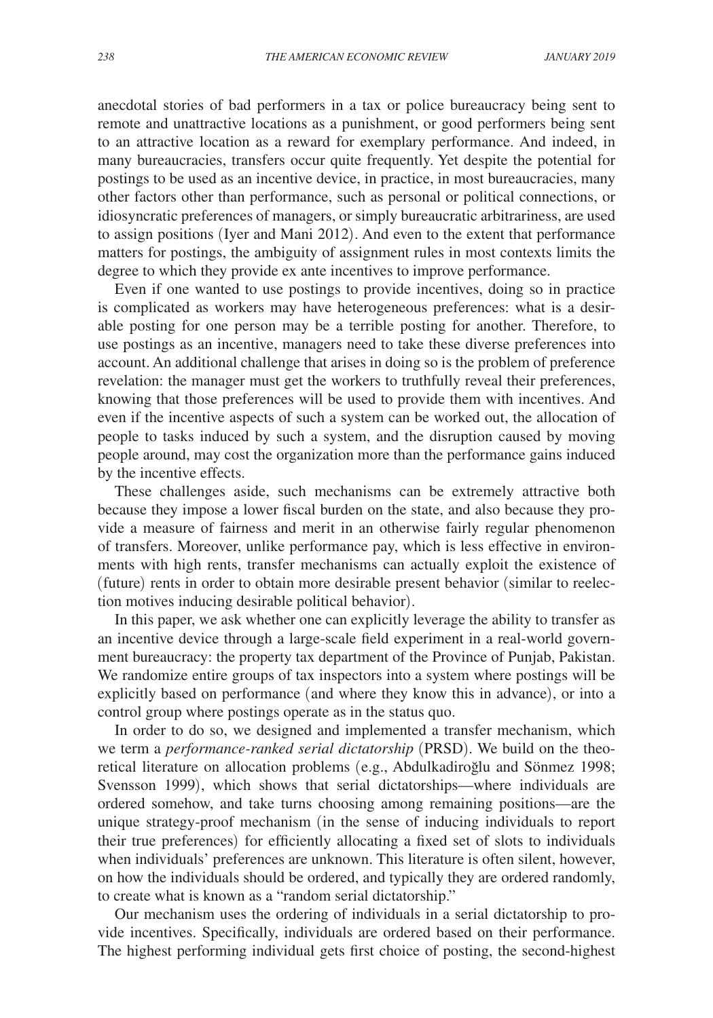anecdotal stories of bad performers in a tax or police bureaucracy being sent to remote and unattractive locations as a punishment, or good performers being sent to an attractive location as a reward for exemplary performance. And indeed, in many bureaucracies, transfers occur quite frequently. Yet despite the potential for postings to be used as an incentive device, in practice, in most bureaucracies, many other factors other than performance, such as personal or political connections, or idiosyncratic preferences of managers, or simply bureaucratic arbitrariness, are used to assign positions (Iyer and Mani 2012). And even to the extent that performance matters for postings, the ambiguity of assignment rules in most contexts limits the degree to which they provide ex ante incentives to improve performance.

Even if one wanted to use postings to provide incentives, doing so in practice is complicated as workers may have heterogeneous preferences: what is a desirable posting for one person may be a terrible posting for another. Therefore, to use postings as an incentive, managers need to take these diverse preferences into account. An additional challenge that arises in doing so is the problem of preference revelation: the manager must get the workers to truthfully reveal their preferences, knowing that those preferences will be used to provide them with incentives. And even if the incentive aspects of such a system can be worked out, the allocation of people to tasks induced by such a system, and the disruption caused by moving people around, may cost the organization more than the performance gains induced by the incentive effects.

These challenges aside, such mechanisms can be extremely attractive both because they impose a lower fiscal burden on the state, and also because they provide a measure of fairness and merit in an otherwise fairly regular phenomenon of transfers. Moreover, unlike performance pay, which is less effective in environments with high rents, transfer mechanisms can actually exploit the existence of (future) rents in order to obtain more desirable present behavior (similar to reelection motives inducing desirable political behavior).

In this paper, we ask whether one can explicitly leverage the ability to transfer as an incentive device through a large-scale field experiment in a real-world government bureaucracy: the property tax department of the Province of Punjab, Pakistan. We randomize entire groups of tax inspectors into a system where postings will be explicitly based on performance (and where they know this in advance), or into a control group where postings operate as in the status quo.

In order to do so, we designed and implemented a transfer mechanism, which we term a *performance-ranked serial dictatorship* (PRSD). We build on the theoretical literature on allocation problems (e.g., Abdulkadiroğlu and Sönmez 1998; Svensson 1999), which shows that serial dictatorships—where individuals are ordered somehow, and take turns choosing among remaining positions—are the unique strategy-proof mechanism (in the sense of inducing individuals to report their true preferences) for efficiently allocating a fixed set of slots to individuals when individuals' preferences are unknown. This literature is often silent, however, on how the individuals should be ordered, and typically they are ordered randomly, to create what is known as a "random serial dictatorship."

Our mechanism uses the ordering of individuals in a serial dictatorship to provide incentives. Specifically, individuals are ordered based on their performance. The highest performing individual gets first choice of posting, the second-highest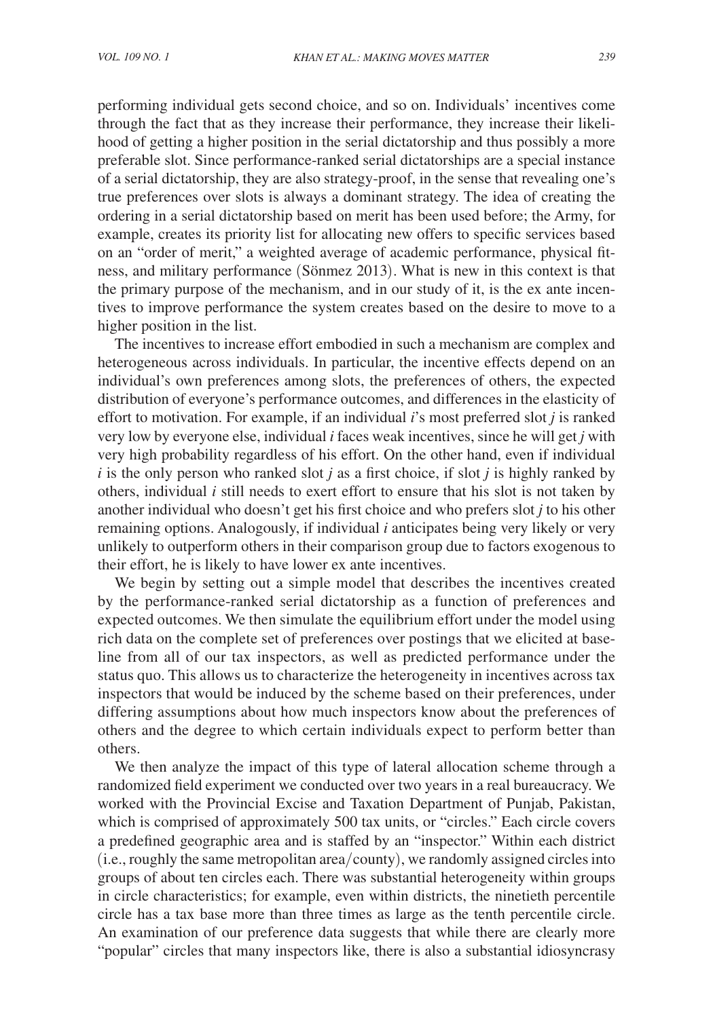performing individual gets second choice, and so on. Individuals' incentives come through the fact that as they increase their performance, they increase their likelihood of getting a higher position in the serial dictatorship and thus possibly a more preferable slot. Since performance-ranked serial dictatorships are a special instance of a serial dictatorship, they are also strategy-proof, in the sense that revealing one's true preferences over slots is always a dominant strategy. The idea of creating the ordering in a serial dictatorship based on merit has been used before; the Army, for example, creates its priority list for allocating new offers to specific services based on an "order of merit," a weighted average of academic performance, physical fitness, and military performance (Sönmez 2013). What is new in this context is that the primary purpose of the mechanism, and in our study of it, is the ex ante incentives to improve performance the system creates based on the desire to move to a higher position in the list.

The incentives to increase effort embodied in such a mechanism are complex and heterogeneous across individuals. In particular, the incentive effects depend on an individual's own preferences among slots, the preferences of others, the expected distribution of everyone's performance outcomes, and differences in the elasticity of effort to motivation. For example, if an individual *i*'s most preferred slot *j* is ranked very low by everyone else, individual *i* faces weak incentives, since he will get *j* with very high probability regardless of his effort. On the other hand, even if individual *i* is the only person who ranked slot *j* as a first choice, if slot *j* is highly ranked by others, individual *i* still needs to exert effort to ensure that his slot is not taken by another individual who doesn't get his first choice and who prefers slot *j* to his other remaining options. Analogously, if individual *i* anticipates being very likely or very unlikely to outperform others in their comparison group due to factors exogenous to their effort, he is likely to have lower ex ante incentives.

We begin by setting out a simple model that describes the incentives created by the performance-ranked serial dictatorship as a function of preferences and expected outcomes. We then simulate the equilibrium effort under the model using rich data on the complete set of preferences over postings that we elicited at baseline from all of our tax inspectors, as well as predicted performance under the status quo. This allows us to characterize the heterogeneity in incentives across tax inspectors that would be induced by the scheme based on their preferences, under differing assumptions about how much inspectors know about the preferences of others and the degree to which certain individuals expect to perform better than others.

We then analyze the impact of this type of lateral allocation scheme through a randomized field experiment we conducted over two years in a real bureaucracy. We worked with the Provincial Excise and Taxation Department of Punjab, Pakistan, which is comprised of approximately 500 tax units, or "circles." Each circle covers a predefined geographic area and is staffed by an "inspector." Within each district (i.e., roughly the same metropolitan area/county), we randomly assigned circles into groups of about ten circles each. There was substantial heterogeneity within groups in circle characteristics; for example, even within districts, the ninetieth percentile circle has a tax base more than three times as large as the tenth percentile circle. An examination of our preference data suggests that while there are clearly more "popular" circles that many inspectors like, there is also a substantial idiosyncrasy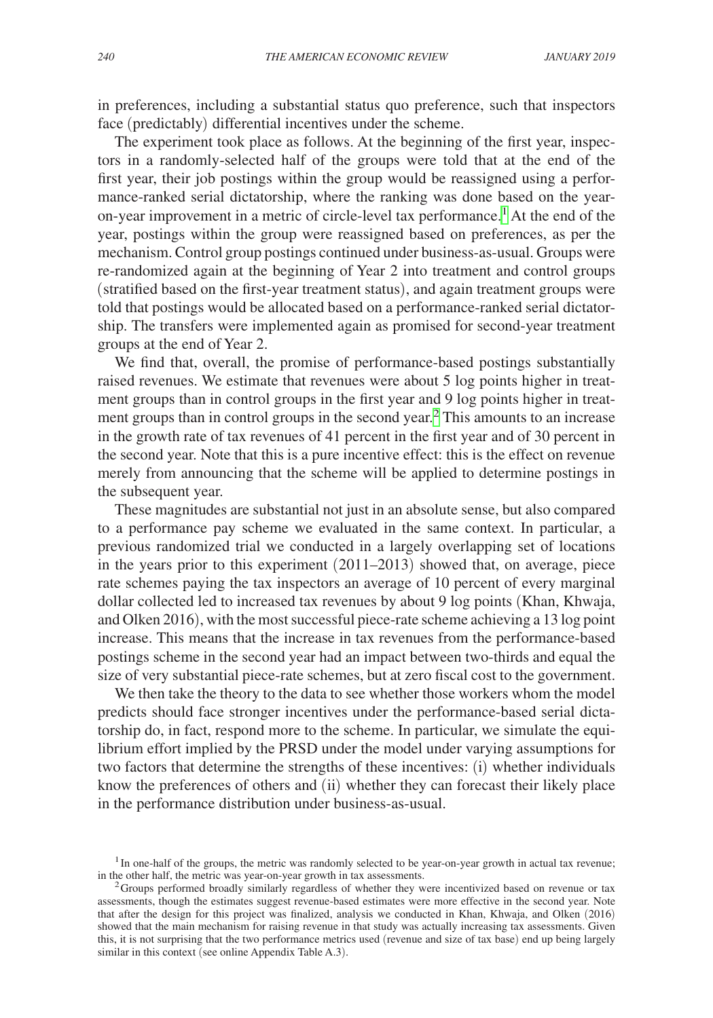in preferences, including a substantial status quo preference, such that inspectors face (predictably) differential incentives under the scheme.

The experiment took place as follows. At the beginning of the first year, inspectors in a randomly-selected half of the groups were told that at the end of the first year, their job postings within the group would be reassigned using a performance-ranked serial dictatorship, where the ranking was done based on the yearon-year improvement in a metric of circle-level tax performance[.1](#page-3-0) At the end of the year, postings within the group were reassigned based on preferences, as per the mechanism. Control group postings continued under business-as-usual. Groups were re-randomized again at the beginning of Year 2 into treatment and control groups (stratified based on the first-year treatment status), and again treatment groups were told that postings would be allocated based on a performance-ranked serial dictatorship. The transfers were implemented again as promised for second-year treatment groups at the end of Year 2.

We find that, overall, the promise of performance-based postings substantially raised revenues. We estimate that revenues were about 5 log points higher in treatment groups than in control groups in the first year and 9 log points higher in treatment groups than in control groups in the second year.<sup>2</sup> This amounts to an increase in the growth rate of tax revenues of 41 percent in the first year and of 30 percent in the second year. Note that this is a pure incentive effect: this is the effect on revenue merely from announcing that the scheme will be applied to determine postings in the subsequent year.

These magnitudes are substantial not just in an absolute sense, but also compared to a performance pay scheme we evaluated in the same context. In particular, a previous randomized trial we conducted in a largely overlapping set of locations in the years prior to this experiment (2011–2013) showed that, on average, piece rate schemes paying the tax inspectors an average of 10 percent of every marginal dollar collected led to increased tax revenues by about 9 log points (Khan, Khwaja, and Olken 2016), with the most successful piece-rate scheme achieving a 13 log point increase. This means that the increase in tax revenues from the performance-based postings scheme in the second year had an impact between two-thirds and equal the size of very substantial piece-rate schemes, but at zero fiscal cost to the government.

We then take the theory to the data to see whether those workers whom the model predicts should face stronger incentives under the performance-based serial dictatorship do, in fact, respond more to the scheme. In particular, we simulate the equilibrium effort implied by the PRSD under the model under varying assumptions for two factors that determine the strengths of these incentives: (i) whether individuals know the preferences of others and (ii) whether they can forecast their likely place in the performance distribution under business-as-usual.

<span id="page-3-0"></span><sup>&</sup>lt;sup>1</sup>In one-half of the groups, the metric was randomly selected to be year-on-year growth in actual tax revenue; in the other half, the metric was year-on-year growth in tax assessments.

<span id="page-3-1"></span> ${}^{2}$ Groups performed broadly similarly regardless of whether they were incentivized based on revenue or tax assessments, though the estimates suggest revenue-based estimates were more effective in the second year. Note that after the design for this project was finalized, analysis we conducted in Khan, Khwaja, and Olken (2016) showed that the main mechanism for raising revenue in that study was actually increasing tax assessments. Given this, it is not surprising that the two performance metrics used (revenue and size of tax base) end up being largely similar in this context (see online Appendix Table A.3).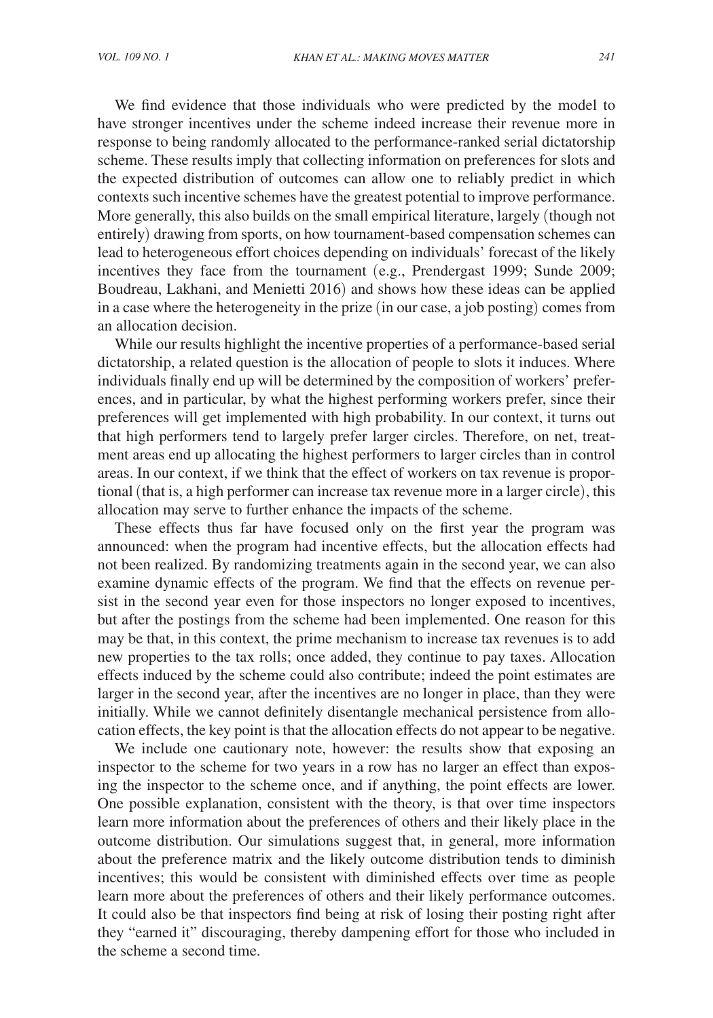We find evidence that those individuals who were predicted by the model to have stronger incentives under the scheme indeed increase their revenue more in response to being randomly allocated to the performance-ranked serial dictatorship scheme. These results imply that collecting information on preferences for slots and the expected distribution of outcomes can allow one to reliably predict in which contexts such incentive schemes have the greatest potential to improve performance. More generally, this also builds on the small empirical literature, largely (though not entirely) drawing from sports, on how tournament-based compensation schemes can lead to heterogeneous effort choices depending on individuals' forecast of the likely incentives they face from the tournament (e.g., Prendergast 1999; Sunde 2009; Boudreau, Lakhani, and Menietti 2016) and shows how these ideas can be applied in a case where the heterogeneity in the prize (in our case, a job posting) comes from an allocation decision.

While our results highlight the incentive properties of a performance-based serial dictatorship, a related question is the allocation of people to slots it induces. Where individuals finally end up will be determined by the composition of workers' preferences, and in particular, by what the highest performing workers prefer, since their preferences will get implemented with high probability. In our context, it turns out that high performers tend to largely prefer larger circles. Therefore, on net, treatment areas end up allocating the highest performers to larger circles than in control areas. In our context, if we think that the effect of workers on tax revenue is proportional (that is, a high performer can increase tax revenue more in a larger circle), this allocation may serve to further enhance the impacts of the scheme.

These effects thus far have focused only on the first year the program was announced: when the program had incentive effects, but the allocation effects had not been realized. By randomizing treatments again in the second year, we can also examine dynamic effects of the program. We find that the effects on revenue persist in the second year even for those inspectors no longer exposed to incentives, but after the postings from the scheme had been implemented. One reason for this may be that, in this context, the prime mechanism to increase tax revenues is to add new properties to the tax rolls; once added, they continue to pay taxes. Allocation effects induced by the scheme could also contribute; indeed the point estimates are larger in the second year, after the incentives are no longer in place, than they were initially. While we cannot definitely disentangle mechanical persistence from allocation effects, the key point is that the allocation effects do not appear to be negative.

We include one cautionary note, however: the results show that exposing an inspector to the scheme for two years in a row has no larger an effect than exposing the inspector to the scheme once, and if anything, the point effects are lower. One possible explanation, consistent with the theory, is that over time inspectors learn more information about the preferences of others and their likely place in the outcome distribution. Our simulations suggest that, in general, more information about the preference matrix and the likely outcome distribution tends to diminish incentives; this would be consistent with diminished effects over time as people learn more about the preferences of others and their likely performance outcomes. It could also be that inspectors find being at risk of losing their posting right after they "earned it" discouraging, thereby dampening effort for those who included in the scheme a second time.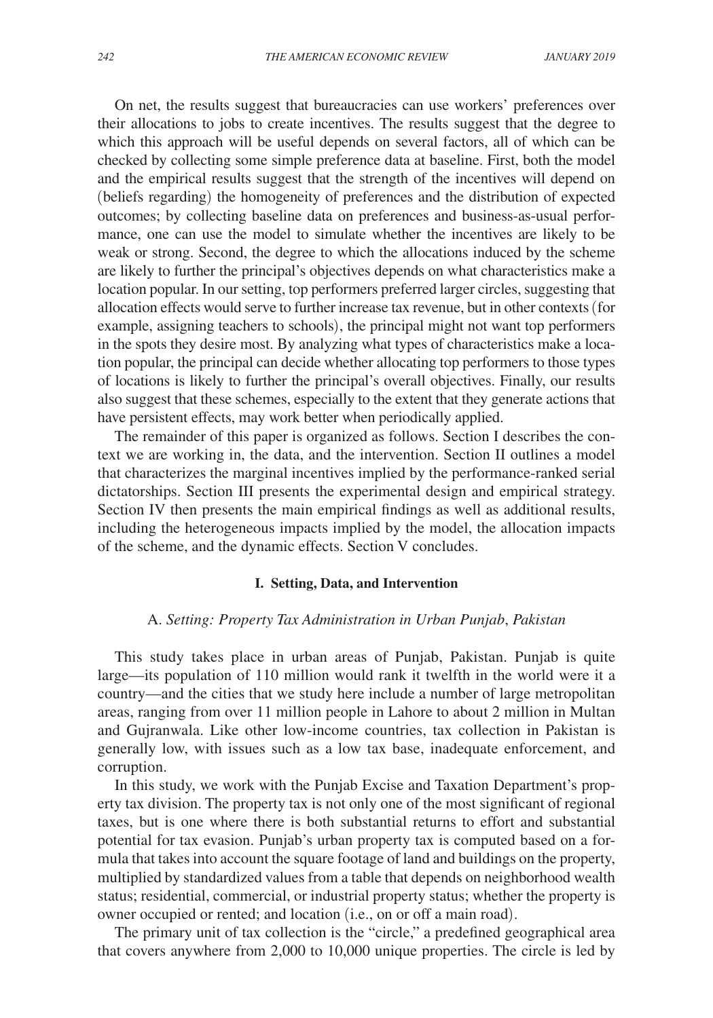On net, the results suggest that bureaucracies can use workers' preferences over their allocations to jobs to create incentives. The results suggest that the degree to which this approach will be useful depends on several factors, all of which can be checked by collecting some simple preference data at baseline. First, both the model and the empirical results suggest that the strength of the incentives will depend on (beliefs regarding) the homogeneity of preferences and the distribution of expected outcomes; by collecting baseline data on preferences and business-as-usual performance, one can use the model to simulate whether the incentives are likely to be weak or strong. Second, the degree to which the allocations induced by the scheme are likely to further the principal's objectives depends on what characteristics make a location popular. In our setting, top performers preferred larger circles, suggesting that allocation effects would serve to further increase tax revenue, but in other contexts (for example, assigning teachers to schools), the principal might not want top performers in the spots they desire most. By analyzing what types of characteristics make a location popular, the principal can decide whether allocating top performers to those types of locations is likely to further the principal's overall objectives. Finally, our results also suggest that these schemes, especially to the extent that they generate actions that have persistent effects, may work better when periodically applied.

The remainder of this paper is organized as follows. Section I describes the context we are working in, the data, and the intervention. Section II outlines a model that characterizes the marginal incentives implied by the performance-ranked serial dictatorships. Section III presents the experimental design and empirical strategy. Section IV then presents the main empirical findings as well as additional results, including the heterogeneous impacts implied by the model, the allocation impacts of the scheme, and the dynamic effects. Section V concludes.

## **I. Setting, Data, and Intervention**

## A. *Setting: Property Tax Administration in Urban Punjab*, *Pakistan*

This study takes place in urban areas of Punjab, Pakistan. Punjab is quite large—its population of 110 million would rank it twelfth in the world were it a country—and the cities that we study here include a number of large metropolitan areas, ranging from over 11 million people in Lahore to about 2 million in Multan and Gujranwala. Like other low-income countries, tax collection in Pakistan is generally low, with issues such as a low tax base, inadequate enforcement, and corruption.

In this study, we work with the Punjab Excise and Taxation Department's property tax division. The property tax is not only one of the most significant of regional taxes, but is one where there is both substantial returns to effort and substantial potential for tax evasion. Punjab's urban property tax is computed based on a formula that takes into account the square footage of land and buildings on the property, multiplied by standardized values from a table that depends on neighborhood wealth status; residential, commercial, or industrial property status; whether the property is owner occupied or rented; and location (i.e., on or off a main road).

The primary unit of tax collection is the "circle," a predefined geographical area that covers anywhere from 2,000 to 10,000 unique properties. The circle is led by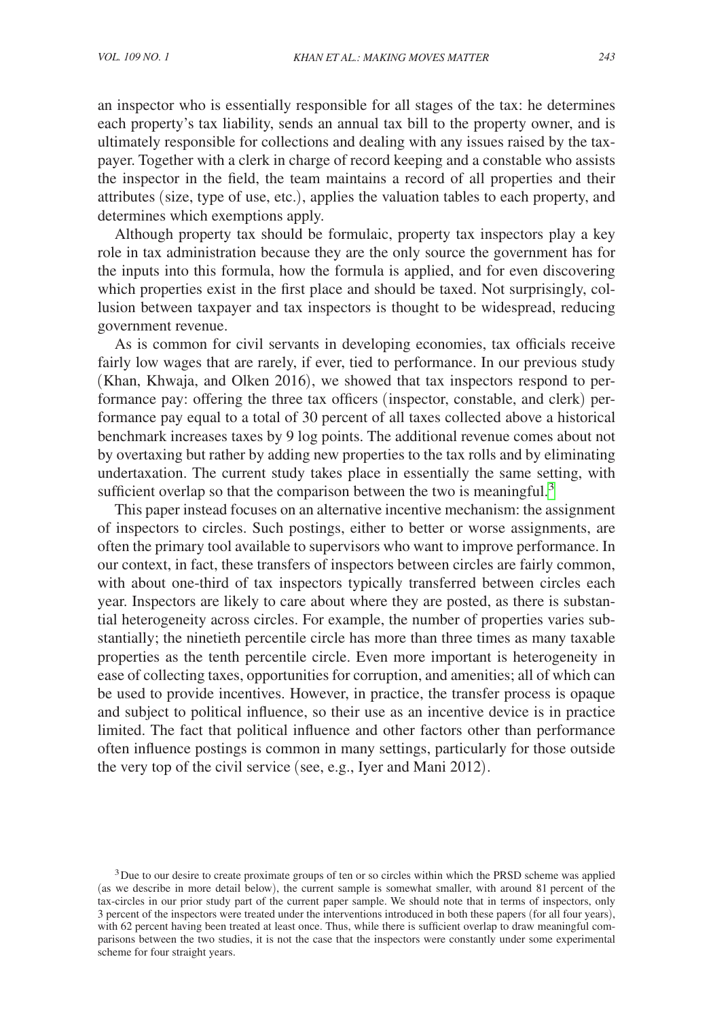an inspector who is essentially responsible for all stages of the tax: he determines each property's tax liability, sends an annual tax bill to the property owner, and is ultimately responsible for collections and dealing with any issues raised by the taxpayer. Together with a clerk in charge of record keeping and a constable who assists the inspector in the field, the team maintains a record of all properties and their attributes (size, type of use, etc.), applies the valuation tables to each property, and determines which exemptions apply.

Although property tax should be formulaic, property tax inspectors play a key role in tax administration because they are the only source the government has for the inputs into this formula, how the formula is applied, and for even discovering which properties exist in the first place and should be taxed. Not surprisingly, collusion between taxpayer and tax inspectors is thought to be widespread, reducing government revenue.

As is common for civil servants in developing economies, tax officials receive fairly low wages that are rarely, if ever, tied to performance. In our previous study (Khan, Khwaja, and Olken 2016), we showed that tax inspectors respond to performance pay: offering the three tax officers (inspector, constable, and clerk) performance pay equal to a total of 30 percent of all taxes collected above a historical benchmark increases taxes by 9 log points. The additional revenue comes about not by overtaxing but rather by adding new properties to the tax rolls and by eliminating undertaxation. The current study takes place in essentially the same setting, with sufficient overlap so that the comparison between the two is meaningful.<sup>[3](#page-6-0)</sup>

This paper instead focuses on an alternative incentive mechanism: the assignment of inspectors to circles. Such postings, either to better or worse assignments, are often the primary tool available to supervisors who want to improve performance. In our context, in fact, these transfers of inspectors between circles are fairly common, with about one-third of tax inspectors typically transferred between circles each year. Inspectors are likely to care about where they are posted, as there is substantial heterogeneity across circles. For example, the number of properties varies substantially; the ninetieth percentile circle has more than three times as many taxable properties as the tenth percentile circle. Even more important is heterogeneity in ease of collecting taxes, opportunities for corruption, and amenities; all of which can be used to provide incentives. However, in practice, the transfer process is opaque and subject to political influence, so their use as an incentive device is in practice limited. The fact that political influence and other factors other than performance often influence postings is common in many settings, particularly for those outside the very top of the civil service (see, e.g., Iyer and Mani 2012).

<span id="page-6-0"></span><sup>&</sup>lt;sup>3</sup>Due to our desire to create proximate groups of ten or so circles within which the PRSD scheme was applied (as we describe in more detail below), the current sample is somewhat smaller, with around 81 percent of the tax-circles in our prior study part of the current paper sample. We should note that in terms of inspectors, only 3 percent of the inspectors were treated under the interventions introduced in both these papers (for all four years), with 62 percent having been treated at least once. Thus, while there is sufficient overlap to draw meaningful comparisons between the two studies, it is not the case that the inspectors were constantly under some experimental scheme for four straight years.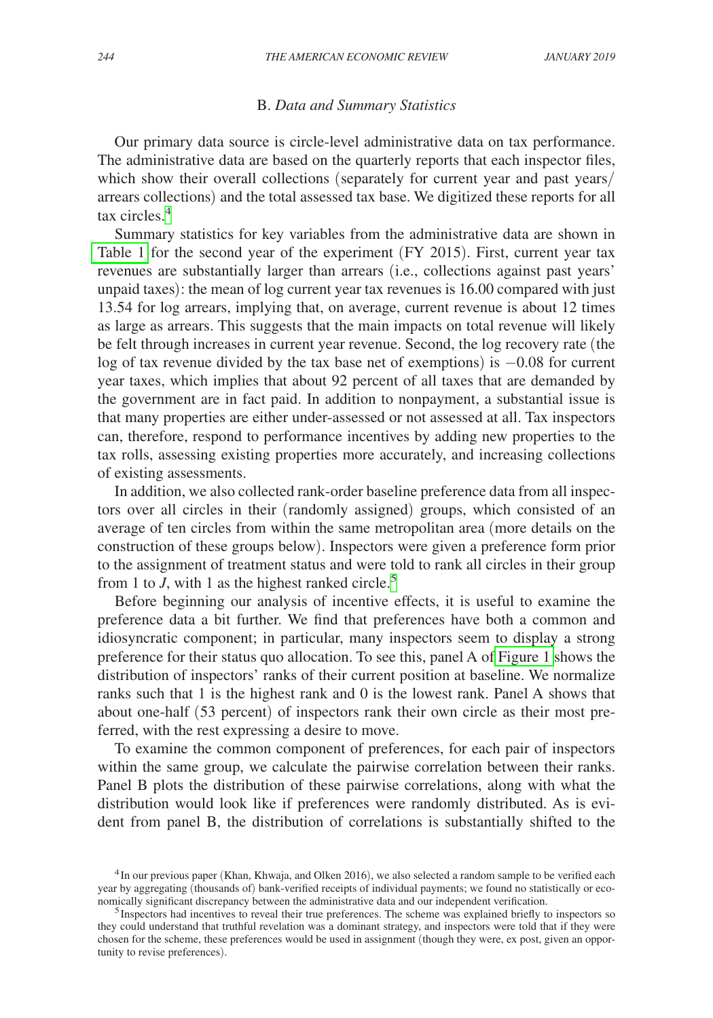## B. *Data and Summary Statistics*

Our primary data source is circle-level administrative data on tax performance. The administrative data are based on the quarterly reports that each inspector files, which show their overall collections (separately for current year and past years/ arrears collections) and the total assessed tax base. We digitized these reports for all tax circles.<sup>[4](#page-7-0)</sup>

Summary statistics for key variables from the administrative data are shown in [Table 1](#page-8-0) for the second year of the experiment (FY 2015). First, current year tax revenues are substantially larger than arrears (i.e., collections against past years' unpaid taxes): the mean of log current year tax revenues is 16.00 compared with just 13.54 for log arrears, implying that, on average, current revenue is about 12 times as large as arrears. This suggests that the main impacts on total revenue will likely be felt through increases in current year revenue. Second, the log recovery rate (the log of tax revenue divided by the tax base net of exemptions) is −0.08 for current year taxes, which implies that about 92 percent of all taxes that are demanded by the government are in fact paid. In addition to nonpayment, a substantial issue is that many properties are either under-assessed or not assessed at all. Tax inspectors can, therefore, respond to performance incentives by adding new properties to the tax rolls, assessing existing properties more accurately, and increasing collections of existing assessments.

In addition, we also collected rank-order baseline preference data from all inspectors over all circles in their (randomly assigned) groups, which consisted of an average of ten circles from within the same metropolitan area (more details on the construction of these groups below). Inspectors were given a preference form prior to the assignment of treatment status and were told to rank all circles in their group from 1 to  $J$ , with 1 as the highest ranked circle.<sup>5</sup>

Before beginning our analysis of incentive effects, it is useful to examine the preference data a bit further. We find that preferences have both a common and idiosyncratic component; in particular, many inspectors seem to display a strong preference for their status quo allocation. To see this, panel A of [Figure 1](#page-8-0) shows the distribution of inspectors' ranks of their current position at baseline. We normalize ranks such that 1 is the highest rank and 0 is the lowest rank. Panel A shows that about one-half (53 percent) of inspectors rank their own circle as their most preferred, with the rest expressing a desire to move.

To examine the common component of preferences, for each pair of inspectors within the same group, we calculate the pairwise correlation between their ranks. Panel B plots the distribution of these pairwise correlations, along with what the distribution would look like if preferences were randomly distributed. As is evident from panel B, the distribution of correlations is substantially shifted to the

<span id="page-7-0"></span><sup>&</sup>lt;sup>4</sup>In our previous paper (Khan, Khwaja, and Olken 2016), we also selected a random sample to be verified each year by aggregating (thousands of) bank-verified receipts of individual payments; we found no statistically or eco-<br>nomically significant discrepancy between the administrative data and our independent verification.

<span id="page-7-1"></span><sup>&</sup>lt;sup>5</sup> Inspectors had incentives to reveal their true preferences. The scheme was explained briefly to inspectors so they could understand that truthful revelation was a dominant strategy, and inspectors were told that if they were chosen for the scheme, these preferences would be used in assignment (though they were, ex post, given an opportunity to revise preferences).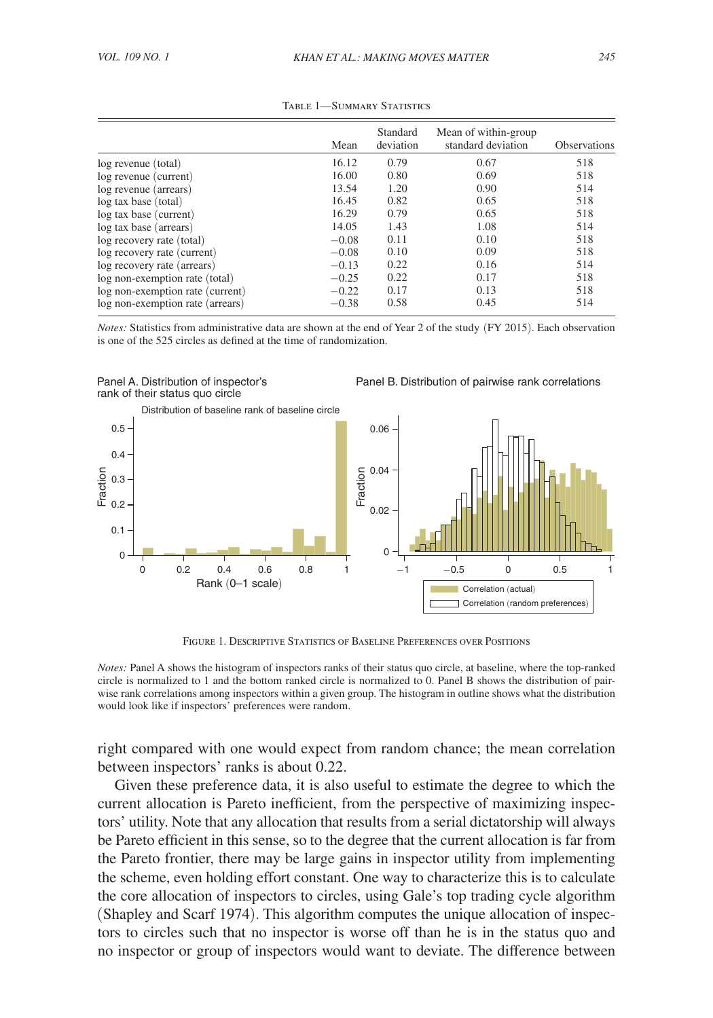Panel A. Distribution of inspector's

<span id="page-8-0"></span>

|                                  | Mean    | Standard<br>deviation | Mean of within-group<br>standard deviation | <b>Observations</b> |
|----------------------------------|---------|-----------------------|--------------------------------------------|---------------------|
| log revenue (total)              | 16.12   | 0.79                  | 0.67                                       | 518                 |
| log revenue (current)            | 16.00   | 0.80                  | 0.69                                       | 518                 |
| log revenue (arrears)            | 13.54   | 1.20                  | 0.90                                       | 514                 |
| log tax base (total)             | 16.45   | 0.82                  | 0.65                                       | 518                 |
| log tax base (current)           | 16.29   | 0.79                  | 0.65                                       | 518                 |
| log tax base (arrears)           | 14.05   | 1.43                  | 1.08                                       | 514                 |
| log recovery rate (total)        | $-0.08$ | 0.11                  | 0.10                                       | 518                 |
| log recovery rate (current)      | $-0.08$ | 0.10                  | 0.09                                       | 518                 |
| log recovery rate (arrears)      | $-0.13$ | 0.22                  | 0.16                                       | 514                 |
| log non-exemption rate (total)   | $-0.25$ | 0.22                  | 0.17                                       | 518                 |
| log non-exemption rate (current) | $-0.22$ | 0.17                  | 0.13                                       | 518                 |
| log non-exemption rate (arrears) | $-0.38$ | 0.58                  | 0.45                                       | 514                 |

| TABLE 1—SUMMARY STATISTICS |
|----------------------------|
|                            |

*Notes:* Statistics from administrative data are shown at the end of Year 2 of the study (FY 2015). Each observation is one of the 525 circles as defined at the time of randomization.



Panel B. Distribution of pairwise rank correlations

Figure 1. Descriptive Statistics of Baseline Preferences over Positions

*Notes:* Panel A shows the histogram of inspectors ranks of their status quo circle, at baseline, where the top-ranked circle is normalized to 1 and the bottom ranked circle is normalized to 0. Panel B shows the distribution of pairwise rank correlations among inspectors within a given group. The histogram in outline shows what the distribution would look like if inspectors' preferences were random.

right compared with one would expect from random chance; the mean correlation between inspectors' ranks is about 0.22.

Given these preference data, it is also useful to estimate the degree to which the current allocation is Pareto inefficient, from the perspective of maximizing inspectors' utility. Note that any allocation that results from a serial dictatorship will always be Pareto efficient in this sense, so to the degree that the current allocation is far from the Pareto frontier, there may be large gains in inspector utility from implementing the scheme, even holding effort constant. One way to characterize this is to calculate the core allocation of inspectors to circles, using Gale's top trading cycle algorithm (Shapley and Scarf 1974). This algorithm computes the unique allocation of inspectors to circles such that no inspector is worse off than he is in the status quo and no inspector or group of inspectors would want to deviate. The difference between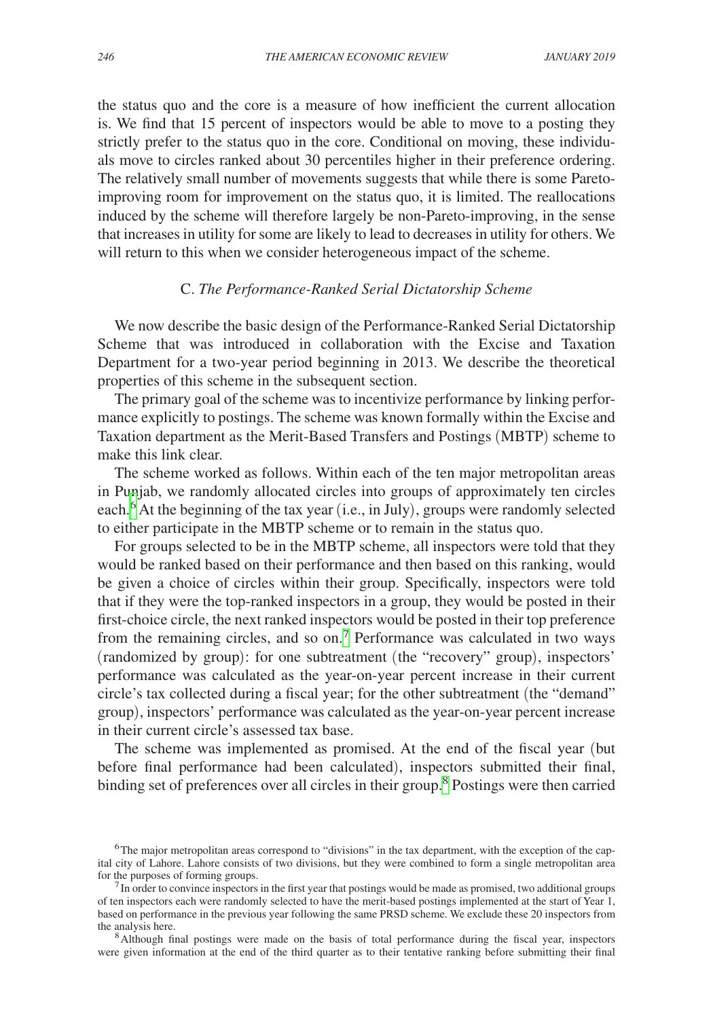the status quo and the core is a measure of how inefficient the current allocation is. We find that 15 percent of inspectors would be able to move to a posting they strictly prefer to the status quo in the core. Conditional on moving, these individuals move to circles ranked about 30 percentiles higher in their preference ordering. The relatively small number of movements suggests that while there is some Paretoimproving room for improvement on the status quo, it is limited. The reallocations induced by the scheme will therefore largely be non-Pareto-improving, in the sense that increases in utility for some are likely to lead to decreases in utility for others. We will return to this when we consider heterogeneous impact of the scheme.

## C. *The Performance-Ranked Serial Dictatorship Scheme*

We now describe the basic design of the Performance-Ranked Serial Dictatorship Scheme that was introduced in collaboration with the Excise and Taxation Department for a two-year period beginning in 2013. We describe the theoretical properties of this scheme in the subsequent section.

The primary goal of the scheme was to incentivize performance by linking performance explicitly to postings. The scheme was known formally within the Excise and Taxation department as the Merit-Based Transfers and Postings (MBTP) scheme to make this link clear.

The scheme worked as follows. Within each of the ten major metropolitan areas in Punjab, we randomly allocated circles into groups of approximately ten circles each.<sup>[6](#page-9-0)</sup> At the beginning of the tax year (i.e., in July), groups were randomly selected to either participate in the MBTP scheme or to remain in the status quo.

For groups selected to be in the MBTP scheme, all inspectors were told that they would be ranked based on their performance and then based on this ranking, would be given a choice of circles within their group. Specifically, inspectors were told that if they were the top-ranked inspectors in a group, they would be posted in their first-choice circle, the next ranked inspectors would be posted in their top preference from the remaining circles, and so on.<sup>7</sup> Performance was calculated in two ways (randomized by group): for one subtreatment (the "recovery" group), inspectors' performance was calculated as the year-on-year percent increase in their current circle's tax collected during a fiscal year; for the other subtreatment (the "demand" group), inspectors' performance was calculated as the year-on-year percent increase in their current circle's assessed tax base.

The scheme was implemented as promised. At the end of the fiscal year (but before final performance had been calculated), inspectors submitted their final, binding set of preferences over all circles in their group.<sup>[8](#page-9-2)</sup> Postings were then carried

<span id="page-9-0"></span><sup>6</sup>The major metropolitan areas correspond to "divisions" in the tax department, with the exception of the capital city of Lahore. Lahore consists of two divisions, but they were combined to form a single metropolitan area for the purposes of forming groups.

<span id="page-9-1"></span> $<sup>7</sup>$  In order to convince inspectors in the first year that postings would be made as promised, two additional groups</sup> of ten inspectors each were randomly selected to have the merit-based postings implemented at the start of Year 1, based on performance in the previous year following the same PRSD scheme. We exclude these 20 inspectors from the analysis here.<br><sup>8</sup>Although final postings were made on the basis of total performance during the fiscal year, inspectors

<span id="page-9-2"></span>were given information at the end of the third quarter as to their tentative ranking before submitting their final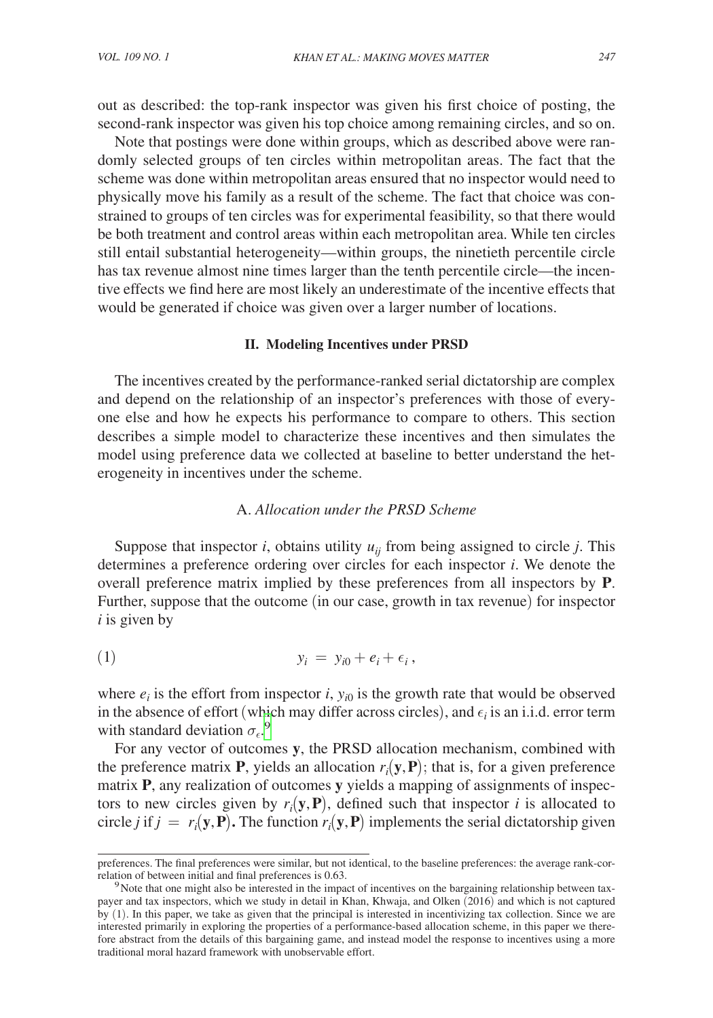out as described: the top-rank inspector was given his first choice of posting, the second-rank inspector was given his top choice among remaining circles, and so on.

Note that postings were done within groups, which as described above were randomly selected groups of ten circles within metropolitan areas. The fact that the scheme was done within metropolitan areas ensured that no inspector would need to physically move his family as a result of the scheme. The fact that choice was constrained to groups of ten circles was for experimental feasibility, so that there would be both treatment and control areas within each metropolitan area. While ten circles still entail substantial heterogeneity—within groups, the ninetieth percentile circle has tax revenue almost nine times larger than the tenth percentile circle—the incentive effects we find here are most likely an underestimate of the incentive effects that would be generated if choice was given over a larger number of locations.

## **II. Modeling Incentives under PRSD**

The incentives created by the performance-ranked serial dictatorship are complex and depend on the relationship of an inspector's preferences with those of everyone else and how he expects his performance to compare to others. This section describes a simple model to characterize these incentives and then simulates the model using preference data we collected at baseline to better understand the heterogeneity in incentives under the scheme.

## A. *Allocation under the PRSD Scheme*

Suppose that inspector *i*, obtains utility  $u_{ij}$  from being assigned to circle *j*. This determines a preference ordering over circles for each inspector *i*. We denote the overall preference matrix implied by these preferences from all inspectors by **P**. Further, suppose that the outcome (in our case, growth in tax revenue) for inspector *i* is given by

$$
y_i = y_{i0} + e_i + \epsilon_i,
$$

where  $e_i$  is the effort from inspector  $i$ ,  $y_{i0}$  is the growth rate that would be observed in the absence of effort (which may differ across circles), and  $\epsilon_i$  is an i.i.d. error term with standard deviation  $\sigma_{\epsilon}$ <sup>[9](#page-10-0)</sup>

For any vector of outcomes **y**, the PRSD allocation mechanism, combined with the preference matrix **P**, yields an allocation  $r_i(\mathbf{y}, \mathbf{P})$ ; that is, for a given preference matrix **P**, any realization of outcomes **y** yields a mapping of assignments of inspectors to new circles given by  $r_i(\mathbf{y}, \mathbf{P})$ , defined such that inspector *i* is allocated to circle *j* if  $j = r_i(\mathbf{y}, \mathbf{P})$ . The function  $r_i(\mathbf{y}, \mathbf{P})$  implements the serial dictatorship given

preferences. The final preferences were similar, but not identical, to the baseline preferences: the average rank-correlation of between initial and final preferences is 0.63.<br><sup>9</sup>Note that one might also be interested in the impact of incentives on the bargaining relationship between tax-

<span id="page-10-0"></span>payer and tax inspectors, which we study in detail in Khan, Khwaja, and Olken (2016) and which is not captured by (1). In this paper, we take as given that the principal is interested in incentivizing tax collection. Since we are interested primarily in exploring the properties of a performance-based allocation scheme, in this paper we therefore abstract from the details of this bargaining game, and instead model the response to incentives using a more traditional moral hazard framework with unobservable effort.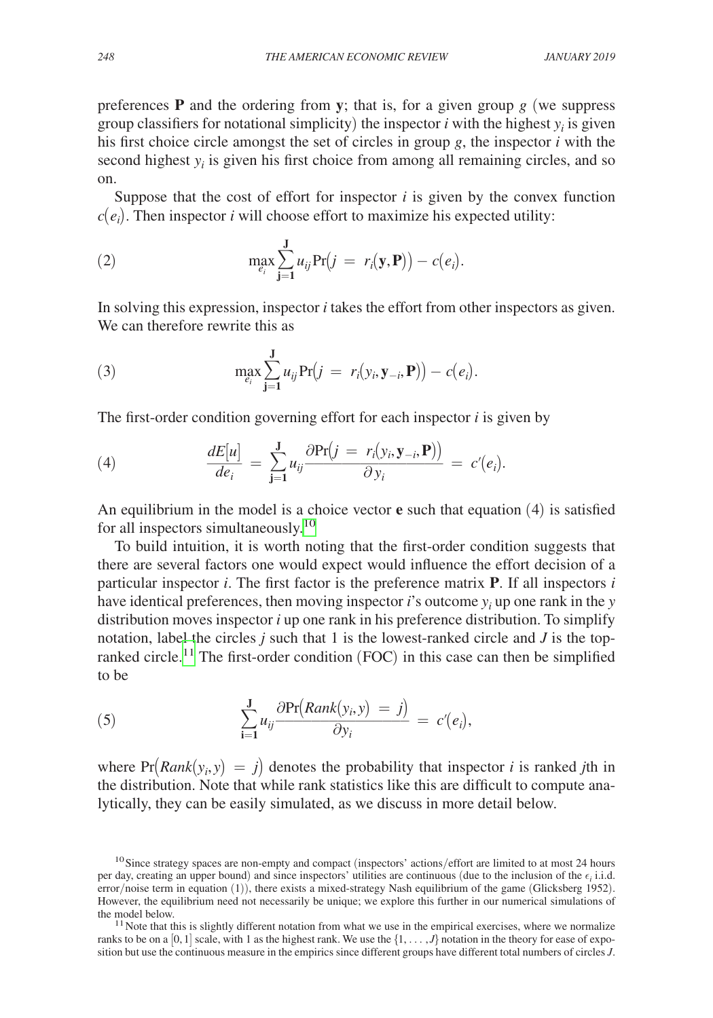preferences **P** and the ordering from **y**; that is, for a given group  $g$  (we suppress group classifiers for notational simplicity) the inspector  $i$  with the highest  $y_i$  is given his first choice circle amongst the set of circles in group *g*, the inspector *i* with the second highest  $y_i$  is given his first choice from among all remaining circles, and so on.

Suppose that the cost of effort for inspector  $i$  is given by the convex function  $c(e_i)$ . Then inspector *i* will choose effort to maximize his expected utility:

(2) 
$$
\max_{e_i} \sum_{j=1}^J u_{ij} \Pr(j = r_i(\mathbf{y}, \mathbf{P})) - c(e_i).
$$

In solving this expression, inspector *i* takes the effort from other inspectors as given. We can therefore rewrite this as

(3) 
$$
\max_{e_i} \sum_{j=1}^J u_{ij} \Pr(j = r_i(y_i, \mathbf{y}_{-i}, \mathbf{P})) - c(e_i).
$$

The first-order condition governing effort for each inspector *i* is given by  
\n(4) 
$$
\frac{dE[u]}{de_i} = \sum_{j=1}^{J} u_{ij} \frac{\partial Pr(j = r_i(y_i, \mathbf{y}_{-i}, \mathbf{P}))}{\partial y_i} = c'(e_i).
$$

An equilibrium in the model is a choice vector **e** such that equation (4) is satisfied for all inspectors simultaneously.<sup>[10](#page-11-0)</sup>

To build intuition, it is worth noting that the first-order condition suggests that there are several factors one would expect would influence the effort decision of a particular inspector *i*. The first factor is the preference matrix **P**. If all inspectors *i* have identical preferences, then moving inspector  $i$ 's outcome  $y_i$  up one rank in the  $y$ distribution moves inspector *i* up one rank in his preference distribution. To simplify notation, label the circles *j* such that 1 is the lowest-ranked circle and *J* is the topranked circle.<sup>11</sup> The first-order condition (FOC) in this case can then be simplified to be

to be

\n
$$
\sum_{i=1}^{J} u_{ij} \frac{\partial Pr(Rank(y_i, y) = j)}{\partial y_i} = c'(e_i),
$$
\nto be

\n
$$
\sum_{i=1}^{J} u_{ij} \frac{\partial Pr(Rank(y_i, y) = j)}{\partial y_i} = c'(e_i),
$$

where  $Pr(Rank(y_i, y) = j)$  denotes the probability that inspector *i* is ranked *j*th in the distribution. Note that while rank statistics like this are difficult to compute analytically, they can be easily simulated, as we discuss in more detail below.

<span id="page-11-0"></span> $10$ Since strategy spaces are non-empty and compact (inspectors' actions/effort are limited to at most 24 hours per day, creating an upper bound) and since inspectors' utilities are continuous (due to the inclusion of the  $\epsilon_i$  i.i.d. error/noise term in equation (1)), there exists a mixed-strategy Nash equilibrium of the game (Glicksberg 1952). However, the equilibrium need not necessarily be unique; we explore this further in our numerical simulations of the model below.<br><sup>11</sup>Note that this is slightly different notation from what we use in the empirical exercises, where we normalize

<span id="page-11-1"></span>ranks to be on a  $[0,1]$  scale, with 1 as the highest rank. We use the  $\{1,\ldots,J\}$  notation in the theory for ease of exposition but use the continuous measure in the empirics since different groups have different total numbers of circles *J*.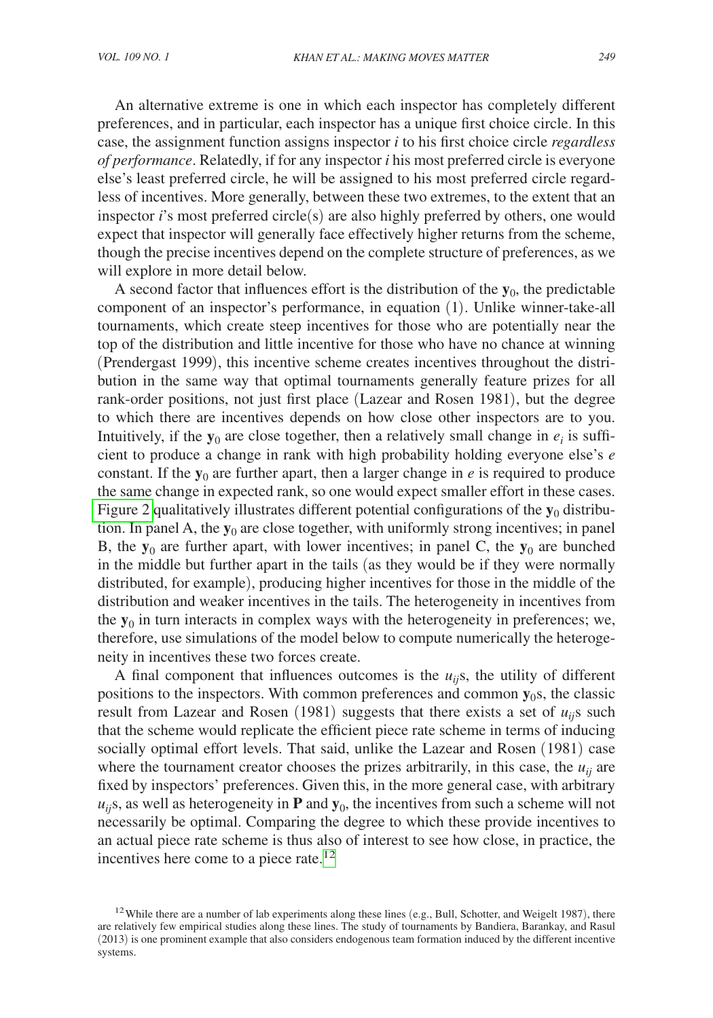An alternative extreme is one in which each inspector has completely different preferences, and in particular, each inspector has a unique first choice circle. In this case, the assignment function assigns inspector *i* to his first choice circle *regardless of performance*. Relatedly, if for any inspector *i* his most preferred circle is everyone else's least preferred circle, he will be assigned to his most preferred circle regardless of incentives. More generally, between these two extremes, to the extent that an inspector *i*'s most preferred circle(s) are also highly preferred by others, one would expect that inspector will generally face effectively higher returns from the scheme, though the precise incentives depend on the complete structure of preferences, as we will explore in more detail below.

A second factor that influences effort is the distribution of the  $y_0$ , the predictable component of an inspector's performance, in equation (1). Unlike winner-take-all tournaments, which create steep incentives for those who are potentially near the top of the distribution and little incentive for those who have no chance at winning (Prendergast 1999), this incentive scheme creates incentives throughout the distribution in the same way that optimal tournaments generally feature prizes for all rank-order positions, not just first place (Lazear and Rosen 1981), but the degree to which there are incentives depends on how close other inspectors are to you. Intuitively, if the  $y_0$  are close together, then a relatively small change in  $e_i$  is sufficient to produce a change in rank with high probability holding everyone else's *e* constant. If the  $y_0$  are further apart, then a larger change in  $e$  is required to produce the same change in expected rank, so one would expect smaller effort in these cases. [Figure 2](#page-13-0) qualitatively illustrates different potential configurations of the  $y_0$  distribution. In panel A, the  $y_0$  are close together, with uniformly strong incentives; in panel B, the  $y_0$  are further apart, with lower incentives; in panel C, the  $y_0$  are bunched in the middle but further apart in the tails (as they would be if they were normally distributed, for example), producing higher incentives for those in the middle of the distribution and weaker incentives in the tails. The heterogeneity in incentives from the  $y_0$  in turn interacts in complex ways with the heterogeneity in preferences; we, therefore, use simulations of the model below to compute numerically the heterogeneity in incentives these two forces create.

A final component that influences outcomes is the  $u_{ij}$ s, the utility of different positions to the inspectors. With common preferences and common **y**0s, the classic result from Lazear and Rosen (1981) suggests that there exists a set of  $u_{ij}$ s such that the scheme would replicate the efficient piece rate scheme in terms of inducing socially optimal effort levels. That said, unlike the Lazear and Rosen (1981) case where the tournament creator chooses the prizes arbitrarily, in this case, the  $u_{ii}$  are fixed by inspectors' preferences. Given this, in the more general case, with arbitrary  $u_{ij}$ s, as well as heterogeneity in **P** and  $y_0$ , the incentives from such a scheme will not necessarily be optimal. Comparing the degree to which these provide incentives to an actual piece rate scheme is thus also of interest to see how close, in practice, the incentives here come to a piece rate.<sup>12</sup>

<span id="page-12-0"></span><sup>&</sup>lt;sup>12</sup>While there are a number of lab experiments along these lines (e.g., Bull, Schotter, and Weigelt 1987), there are relatively few empirical studies along these lines. The study of tournaments by Bandiera, Barankay, and Rasul (2013) is one prominent example that also considers endogenous team formation induced by the different incentive systems.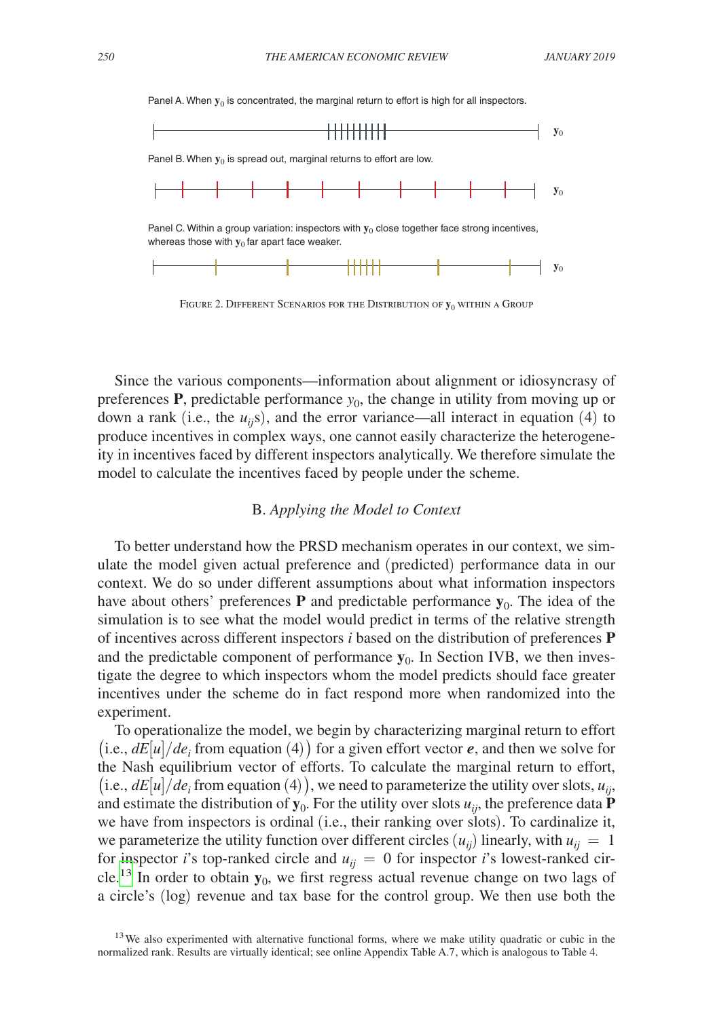<span id="page-13-0"></span>Panel A. When  $y_0$  is concentrated, the marginal return to effort is high for all inspectors.



Figure 2. Different Scenarios for the Distribution of **y**0 within a Group

Since the various components—information about alignment or idiosyncrasy of preferences **P**, predictable performance  $y_0$ , the change in utility from moving up or down a rank (i.e., the  $u_{ii}$ s), and the error variance—all interact in equation (4) to produce incentives in complex ways, one cannot easily characterize the heterogeneity in incentives faced by different inspectors analytically. We therefore simulate the model to calculate the incentives faced by people under the scheme.

## B. *Applying the Model to Context*

To better understand how the PRSD mechanism operates in our context, we simulate the model given actual preference and (predicted) performance data in our context. We do so under different assumptions about what information inspectors have about others' preferences  $P$  and predictable performance  $y_0$ . The idea of the simulation is to see what the model would predict in terms of the relative strength of incentives across different inspectors *i* based on the distribution of preferences **P**  and the predictable component of performance  $y_0$ . In Section IVB, we then investigate the degree to which inspectors whom the model predicts should face greater incentives under the scheme do in fact respond more when randomized into the experiment.

To operationalize the model, we begin by characterizing marginal return to effort (i.e.,  $dE[u]/de_i$  from equation (4)) for a given effort vector *e*, and then we solve for the Nash equilibrium vector of efforts. To calculate the marginal return to effort, (i.e.,  $dE[u]/de_i$  from equation (4)), we need to parameterize the utility over slots,  $u_{ij}$ , and estimate the distribution of  $y_0$ . For the utility over slots  $u_{ii}$ , the preference data **P** we have from inspectors is ordinal (i.e., their ranking over slots). To cardinalize it, we parameterize the utility function over different circles  $(u_{ij})$  linearly, with  $u_{ij} = 1$ for inspector *i*'s top-ranked circle and  $u_{ii} = 0$  for inspector *i*'s lowest-ranked cir-cle.<sup>[13](#page-13-1)</sup> In order to obtain  $y_0$ , we first regress actual revenue change on two lags of a circle's (log) revenue and tax base for the control group. We then use both the

<span id="page-13-1"></span><sup>&</sup>lt;sup>13</sup>We also experimented with alternative functional forms, where we make utility quadratic or cubic in the normalized rank. Results are virtually identical; see online Appendix Table A.7, which is analogous to Table 4.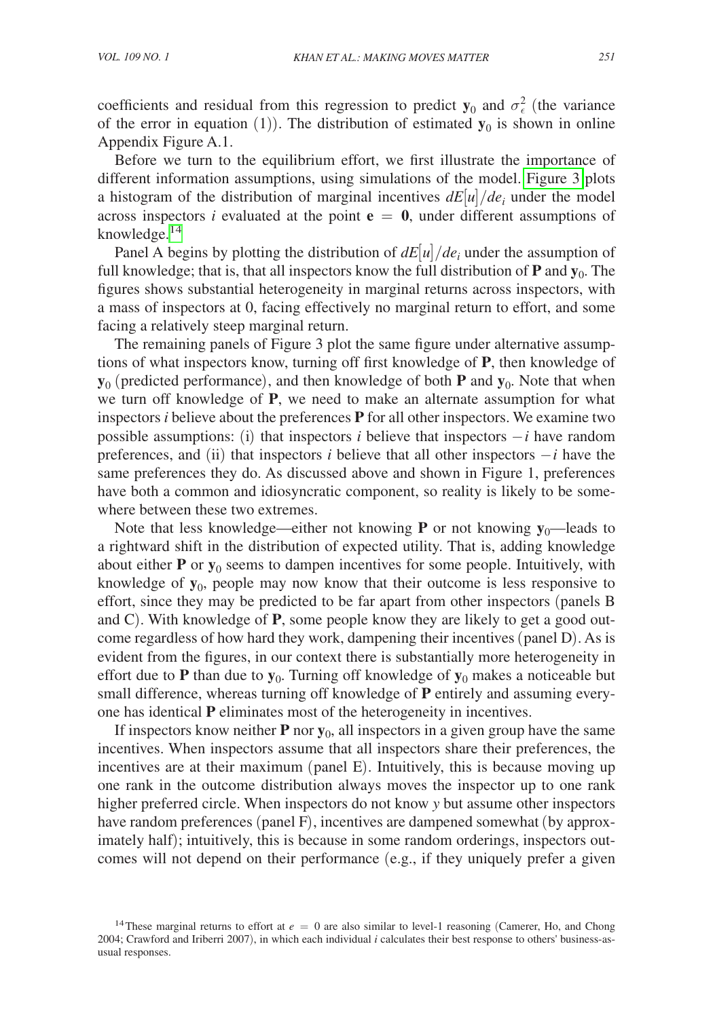coefficients and residual from this regression to predict  $y_0$  and  $\sigma_\epsilon^2$  (the variance of the error in equation  $(1)$ ). The distribution of estimated  $y_0$  is shown in online Appendix Figure A.1.

Before we turn to the equilibrium effort, we first illustrate the importance of different information assumptions, using simulations of the model. [Figure 3](#page-15-0) plots a histogram of the distribution of marginal incentives  $dE[u]/de_i$  under the model across inspectors *i* evaluated at the point  $e = 0$ , under different assumptions of knowledge. $14$ 

Panel A begins by plotting the distribution of  $dE[u]/de_i$  under the assumption of full knowledge; that is, that all inspectors know the full distribution of  $P$  and  $y_0$ . The figures shows substantial heterogeneity in marginal returns across inspectors, with a mass of inspectors at 0, facing effectively no marginal return to effort, and some facing a relatively steep marginal return.

The remaining panels of Figure 3 plot the same figure under alternative assumptions of what inspectors know, turning off first knowledge of **P**, then knowledge of  $y_0$  (predicted performance), and then knowledge of both **P** and  $y_0$ . Note that when we turn off knowledge of **P**, we need to make an alternate assumption for what inspectors *i* believe about the preferences **P** for all other inspectors. We examine two possible assumptions: (i) that inspectors *i* believe that inspectors −*i* have random preferences, and (ii) that inspectors *i* believe that all other inspectors −*i* have the same preferences they do. As discussed above and shown in Figure 1, preferences have both a common and idiosyncratic component, so reality is likely to be somewhere between these two extremes.

Note that less knowledge—either not knowing **P** or not knowing  $y_0$ —leads to a rightward shift in the distribution of expected utility. That is, adding knowledge about either  $P$  or  $y_0$  seems to dampen incentives for some people. Intuitively, with knowledge of  $y_0$ , people may now know that their outcome is less responsive to effort, since they may be predicted to be far apart from other inspectors (panels B and C). With knowledge of **P**, some people know they are likely to get a good outcome regardless of how hard they work, dampening their incentives (panel D). As is evident from the figures, in our context there is substantially more heterogeneity in effort due to **P** than due to  $y_0$ . Turning off knowledge of  $y_0$  makes a noticeable but small difference, whereas turning off knowledge of **P** entirely and assuming everyone has identical **P** eliminates most of the heterogeneity in incentives.

If inspectors know neither  $P$  nor  $y_0$ , all inspectors in a given group have the same incentives. When inspectors assume that all inspectors share their preferences, the incentives are at their maximum (panel E). Intuitively, this is because moving up one rank in the outcome distribution always moves the inspector up to one rank higher preferred circle. When inspectors do not know *y* but assume other inspectors have random preferences (panel F), incentives are dampened somewhat (by approximately half); intuitively, this is because in some random orderings, inspectors outcomes will not depend on their performance (e.g., if they uniquely prefer a given

<span id="page-14-0"></span><sup>&</sup>lt;sup>14</sup>These marginal returns to effort at  $e = 0$  are also similar to level-1 reasoning (Camerer, Ho, and Chong 2004; Crawford and Iriberri 2007), in which each individual *i* calculates their best response to others' business-asusual responses.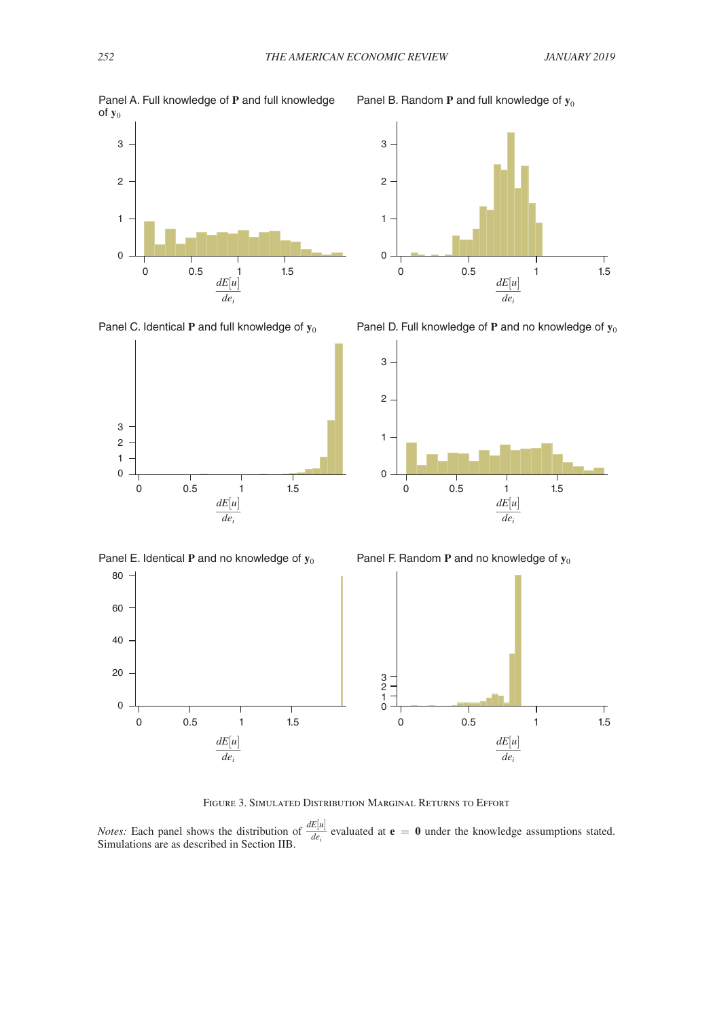<span id="page-15-0"></span>Panel A. Full knowledge of **P** and full knowledge of **y**<sup>0</sup>









Panel C. Identical **P** and full knowledge of  $y_0$  Panel D. Full knowledge of **P** and no knowledge of  $y_0$ 







Figure 3. Simulated Distribution Marginal Returns to Effort

*Notes:* Each panel shows the distribution of  $\frac{dE[u]}{de_i}$ <br>Simulations are as described in Section IIB  $\frac{dP_{\text{eq}}}{d\epsilon_i}$  evaluated at **e** = **0** under the knowledge assumptions stated. Simulations are as described in Section IIB.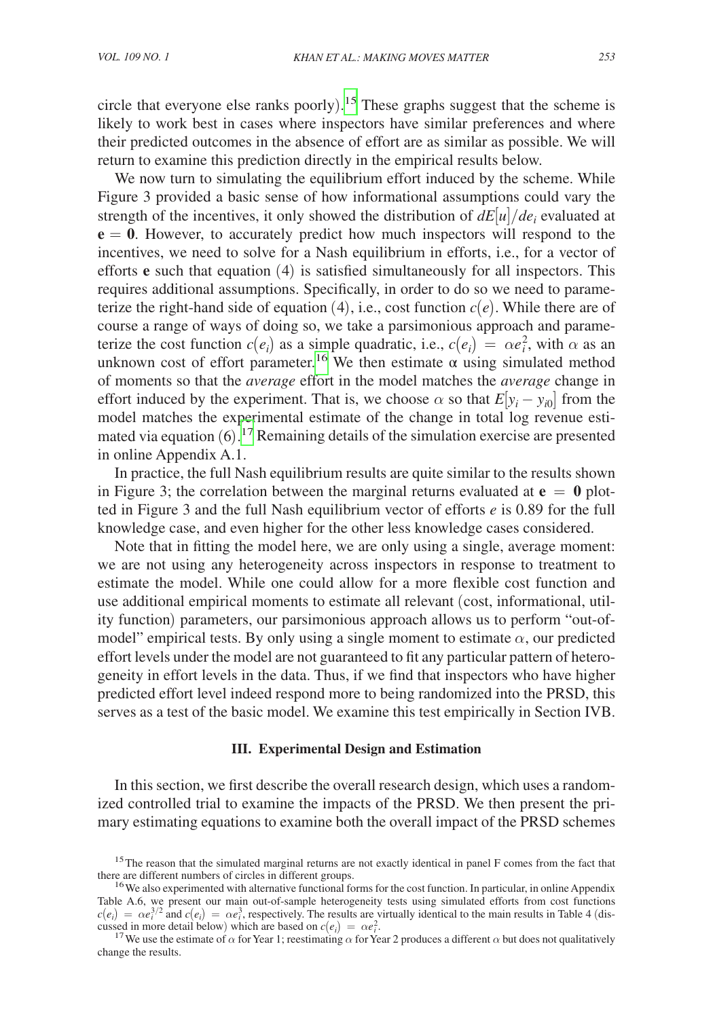circle that everyone else ranks poorly). [15](#page-16-0) These graphs suggest that the scheme is likely to work best in cases where inspectors have similar preferences and where their predicted outcomes in the absence of effort are as similar as possible. We will return to examine this prediction directly in the empirical results below.

We now turn to simulating the equilibrium effort induced by the scheme. While Figure 3 provided a basic sense of how informational assumptions could vary the strength of the incentives, it only showed the distribution of  $dE[u]/de_i$  evaluated at  $e = 0$ . However, to accurately predict how much inspectors will respond to the incentives, we need to solve for a Nash equilibrium in efforts, i.e., for a vector of efforts **e** such that equation (4) is satisfied simultaneously for all inspectors. This requires additional assumptions. Specifically, in order to do so we need to parameterize the right-hand side of equation  $(4)$ , i.e., cost function  $c(e)$ . While there are of course a range of ways of doing so, we take a parsimonious approach and parameterize the cost function  $c(e_i)$  as a simple quadratic, i.e.,  $c(e_i) = \alpha e_i^2$ , with  $\alpha$  as an unknown cost of effort parameter.<sup>16</sup> We then estimate  $\alpha$  using simulated method of moments so that the *average* effort in the model matches the *average* change in effort induced by the experiment. That is, we choose  $\alpha$  so that  $E[y_i - y_{i0}]$  from the model matches the experimental estimate of the change in total log revenue estimated via equation  $(6)$ .<sup>[17](#page-16-2)</sup> Remaining details of the simulation exercise are presented in online Appendix A.1.

In practice, the full Nash equilibrium results are quite similar to the results shown in Figure 3; the correlation between the marginal returns evaluated at  $\mathbf{e} = \mathbf{0}$  plotted in Figure 3 and the full Nash equilibrium vector of efforts *e* is 0.89 for the full knowledge case, and even higher for the other less knowledge cases considered.

Note that in fitting the model here, we are only using a single, average moment: we are not using any heterogeneity across inspectors in response to treatment to estimate the model. While one could allow for a more flexible cost function and use additional empirical moments to estimate all relevant (cost, informational, utility function) parameters, our parsimonious approach allows us to perform "out-ofmodel" empirical tests. By only using a single moment to estimate  $\alpha$ , our predicted effort levels under the model are not guaranteed to fit any particular pattern of heterogeneity in effort levels in the data. Thus, if we find that inspectors who have higher predicted effort level indeed respond more to being randomized into the PRSD, this serves as a test of the basic model. We examine this test empirically in Section IVB.

#### **III. Experimental Design and Estimation**

In this section, we first describe the overall research design, which uses a randomized controlled trial to examine the impacts of the PRSD. We then present the primary estimating equations to examine both the overall impact of the PRSD schemes

<span id="page-16-0"></span><sup>&</sup>lt;sup>15</sup>The reason that the simulated marginal returns are not exactly identical in panel F comes from the fact that there are different numbers of circles in different groups.

<span id="page-16-1"></span><sup>&</sup>lt;sup>16</sup> We also experimented with alternative functional forms for the cost function. In particular, in online Appendix Table A.6, we present our main out-of-sample heterogeneity tests using simulated efforts from cost functions  $c(e_i) = \alpha e_i^{3/2}$  and  $c(e_i) = \alpha e_i^3$ , respectively. The results are virtually identical to the main results in Table 4 (discussed in more detail below) which are based on  $c(e_i) = \alpha e_i^2$ 

<span id="page-16-2"></span><sup>&</sup>lt;sup>17</sup>We use the estimate of  $\alpha$  for Year 1; reestimating  $\alpha$  for Year 2 produces a different  $\alpha$  but does not qualitatively change the results.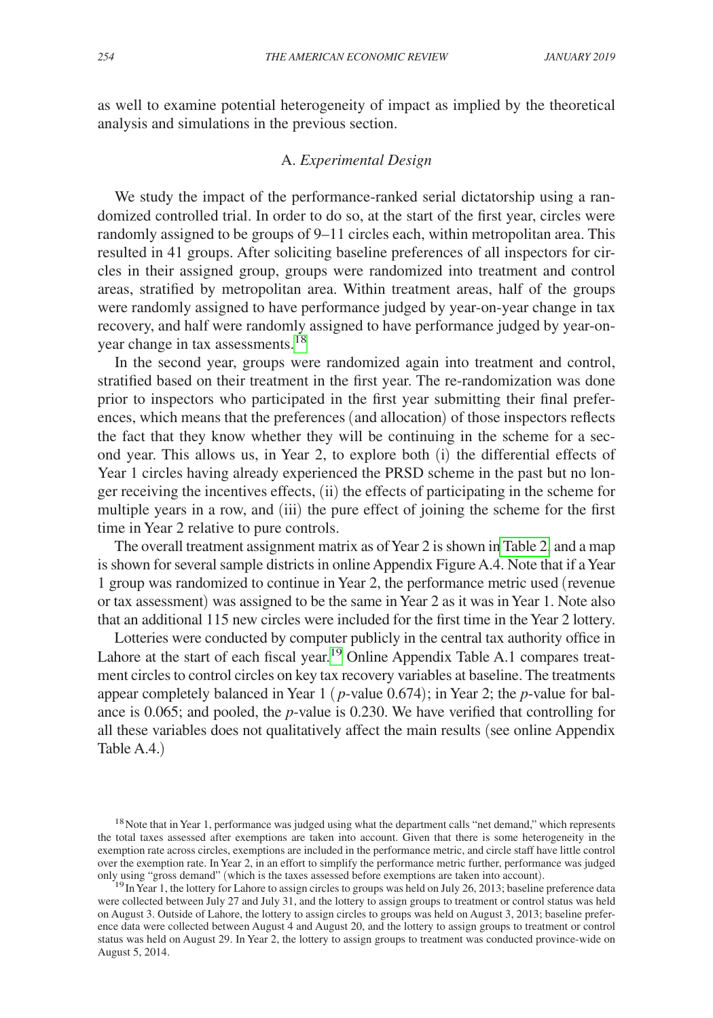as well to examine potential heterogeneity of impact as implied by the theoretical analysis and simulations in the previous section.

# A. *Experimental Design*

We study the impact of the performance-ranked serial dictatorship using a randomized controlled trial. In order to do so, at the start of the first year, circles were randomly assigned to be groups of 9–11 circles each, within metropolitan area. This resulted in 41 groups. After soliciting baseline preferences of all inspectors for circles in their assigned group, groups were randomized into treatment and control areas, stratified by metropolitan area. Within treatment areas, half of the groups were randomly assigned to have performance judged by year-on-year change in tax recovery, and half were randomly assigned to have performance judged by year-on-year change in tax assessments.<sup>[18](#page-17-0)</sup>

In the second year, groups were randomized again into treatment and control, stratified based on their treatment in the first year. The re-randomization was done prior to inspectors who participated in the first year submitting their final preferences, which means that the preferences (and allocation) of those inspectors reflects the fact that they know whether they will be continuing in the scheme for a second year. This allows us, in Year 2, to explore both (i) the differential effects of Year 1 circles having already experienced the PRSD scheme in the past but no longer receiving the incentives effects, (ii) the effects of participating in the scheme for multiple years in a row, and (iii) the pure effect of joining the scheme for the first time in Year 2 relative to pure controls.

The overall treatment assignment matrix as of Year 2 is shown i[n Table 2,](#page-18-0) and a map is shown for several sample districts in online Appendix Figure A.4. Note that if a Year 1 group was randomized to continue in Year 2, the performance metric used (revenue or tax assessment) was assigned to be the same in Year 2 as it was in Year 1. Note also that an additional 115 new circles were included for the first time in the Year 2 lottery.

Lotteries were conducted by computer publicly in the central tax authority office in Lahore at the start of each fiscal year[.19](#page-17-1) Online Appendix Table A.1 compares treatment circles to control circles on key tax recovery variables at baseline. The treatments appear completely balanced in Year 1 (*p*-value 0.674); in Year 2; the *p*-value for balance is 0.065; and pooled, the *p*-value is 0.230. We have verified that controlling for all these variables does not qualitatively affect the main results (see online Appendix Table A.4.)

<span id="page-17-0"></span><sup>&</sup>lt;sup>18</sup> Note that in Year 1, performance was judged using what the department calls "net demand," which represents the total taxes assessed after exemptions are taken into account. Given that there is some heterogeneity in the exemption rate across circles, exemptions are included in the performance metric, and circle staff have little control over the exemption rate. In Year 2, in an effort to simplify the performance metric further, performance was judged only using "gross demand" (which is the taxes assessed before exemptions are taken into account).

<span id="page-17-1"></span><sup>&</sup>lt;sup>19</sup> In Year 1, the lottery for Lahore to assign circles to groups was held on July 26, 2013; baseline preference data were collected between July 27 and July 31, and the lottery to assign groups to treatment or control status was held on August 3. Outside of Lahore, the lottery to assign circles to groups was held on August 3, 2013; baseline preference data were collected between August 4 and August 20, and the lottery to assign groups to treatment or control status was held on August 29. In Year 2, the lottery to assign groups to treatment was conducted province-wide on August 5, 2014.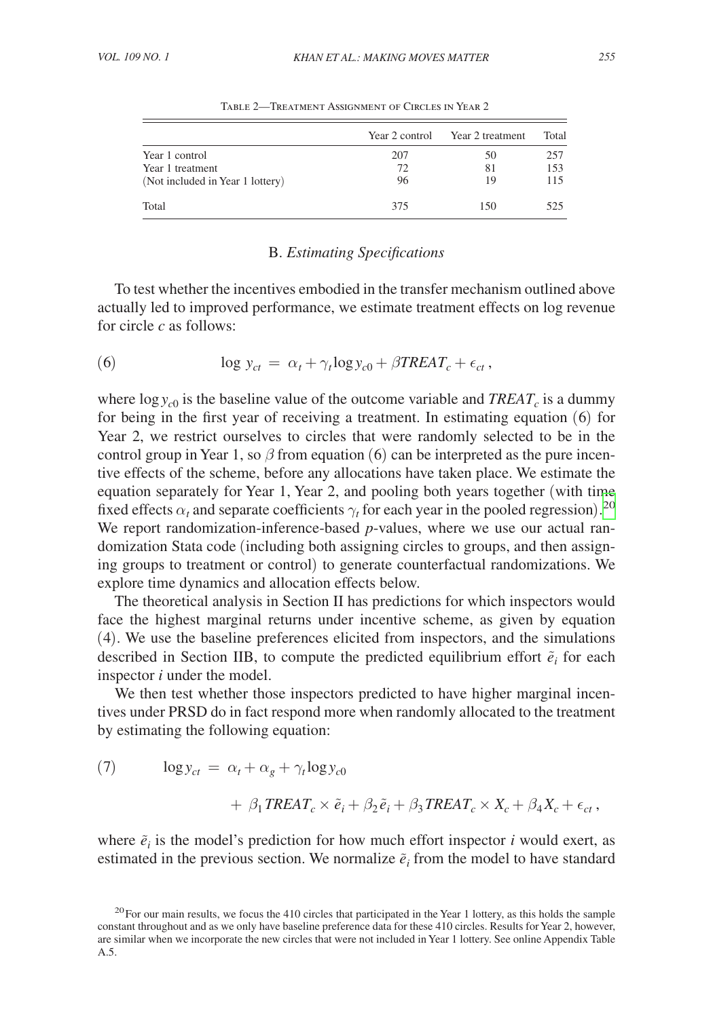<span id="page-18-0"></span>

|                                  | Year 2 control | Year 2 treatment | Total |
|----------------------------------|----------------|------------------|-------|
|                                  |                |                  |       |
| Year 1 control                   | 207            | 50               | 257   |
| Year 1 treatment                 | 72             | 81               | 153   |
| (Not included in Year 1 lottery) | 96             | 19               | 115   |
| Total                            | 375            | 150              | 525   |

Table 2—Treatment Assignment of Circles in Year 2

## B. *Estimating Specifications*

To test whether the incentives embodied in the transfer mechanism outlined above actually led to improved performance, we estimate treatment effects on log revenue for circle *c* as follows:

(6) 
$$
\log y_{ct} = \alpha_t + \gamma_t \log y_{c0} + \beta \text{TREAT}_c + \epsilon_{ct},
$$

where  $\log y_{c0}$  is the baseline value of the outcome variable and *TREAT<sub>c</sub>* is a dummy for being in the first year of receiving a treatment. In estimating equation (6) for Year 2, we restrict ourselves to circles that were randomly selected to be in the control group in Year 1, so  $\beta$  from equation (6) can be interpreted as the pure incentive effects of the scheme, before any allocations have taken place. We estimate the equation separately for Year 1, Year 2, and pooling both years together (with time fixed effects  $\alpha_t$  and separate coefficients  $\gamma_t$  for each year in the pooled regression).<sup>[20](#page-18-1)</sup> We report randomization-inference-based *p*-values, where we use our actual randomization Stata code (including both assigning circles to groups, and then assigning groups to treatment or control) to generate counterfactual randomizations. We explore time dynamics and allocation effects below.

The theoretical analysis in Section II has predictions for which inspectors would face the highest marginal returns under incentive scheme, as given by equation (4). We use the baseline preferences elicited from inspectors, and the simulations described in Section IIB, to compute the predicted equilibrium effort  $\tilde{e}_i$  for each inspector *i* under the model.

We then test whether those inspectors predicted to have higher marginal incentives under PRSD do in fact respond more when randomly allocated to the treatment by estimating the following equation:

(7) 
$$
\log y_{ct} = \alpha_t + \alpha_g + \gamma_t \log y_{c0} + \beta_1 T REAL_C \times \tilde{e}_i + \beta_2 \tilde{e}_i + \beta_3 T REAL_C \times X_c + \beta_4 X_c + \epsilon_{ct},
$$

where  $\tilde{e}_i$  is the model's prediction for how much effort inspector *i* would exert, as estimated in the previous section. We normalize  $\tilde{e}_i$  from the model to have standard

<span id="page-18-1"></span> $20$  For our main results, we focus the 410 circles that participated in the Year 1 lottery, as this holds the sample constant throughout and as we only have baseline preference data for these 410 circles. Results for Year 2, however, are similar when we incorporate the new circles that were not included in Year 1 lottery. See online Appendix Table A.5.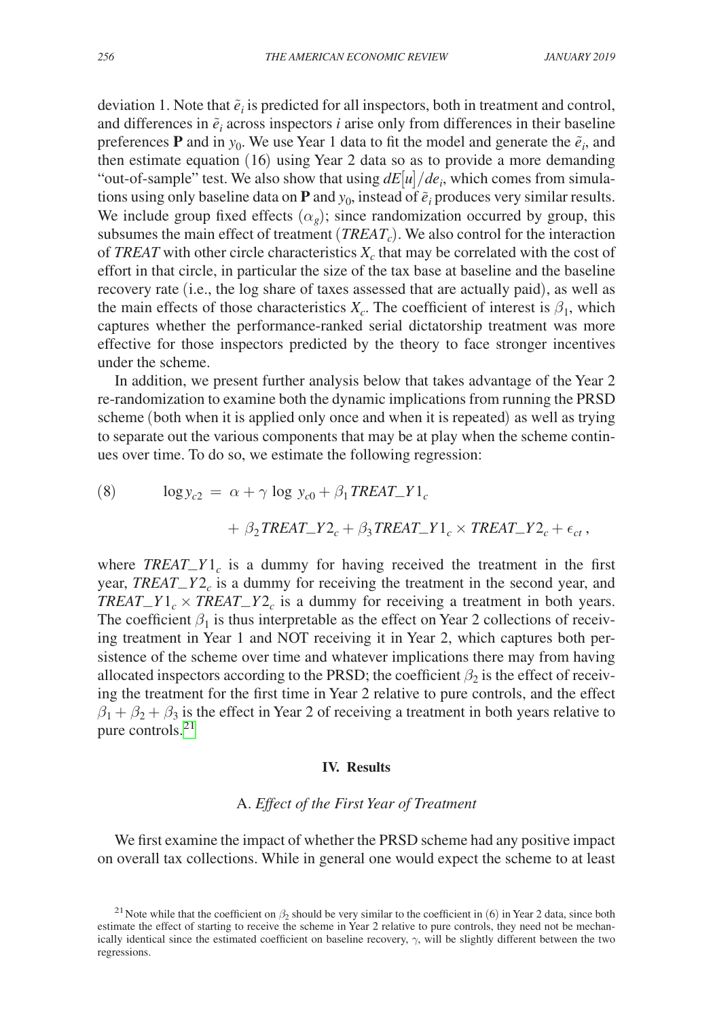deviation 1. Note that  $\tilde{e}_i$  is predicted for all inspectors, both in treatment and control, and differences in  $\tilde{e}_i$  across inspectors  $i$  arise only from differences in their baseline preferences **P** and in  $y_0$ . We use Year 1 data to fit the model and generate the  $\tilde{e}_i$ , and then estimate equation (16) using Year 2 data so as to provide a more demanding "out-of-sample" test. We also show that using  $dE[u]/de_i$ , which comes from simulations using only baseline data on  $P$  and  $y_0$ , instead of  $\tilde{e}_i$  produces very similar results. We include group fixed effects  $(\alpha_g)$ ; since randomization occurred by group, this subsumes the main effect of treatment  $(TREAT<sub>c</sub>)$ . We also control for the interaction of *TREAT* with other circle characteristics  $X_c$  that may be correlated with the cost of effort in that circle, in particular the size of the tax base at baseline and the baseline recovery rate (i.e., the log share of taxes assessed that are actually paid), as well as the main effects of those characteristics  $X_c$ . The coefficient of interest is  $\beta_1$ , which captures whether the performance-ranked serial dictatorship treatment was more effective for those inspectors predicted by the theory to face stronger incentives under the scheme.

In addition, we present further analysis below that takes advantage of the Year 2 re-randomization to examine both the dynamic implications from running the PRSD scheme (both when it is applied only once and when it is repeated) as well as trying to separate out the various components that may be at play when the scheme continues over time. To do so, we estimate the following regression:

(8) 
$$
\log y_{c2} = \alpha + \gamma \log y_{c0} + \beta_1 T REAL\_Y1_c
$$

$$
+ \beta_2 T REAL\_Y2_c + \beta_3 T REAL\_Y1_c \times T REAL\_Y2_c + \epsilon_{ct},
$$

where  $TREAT_Y1_c$  is a dummy for having received the treatment in the first year, *TREAT*\_*Y* 2*c* is a dummy for receiving the treatment in the second year, and *TREAT*\_*Y* 1<sub>*c*</sub>  $\times$  *TREAT*\_*Y* 2<sub>*c*</sub> is a dummy for receiving a treatment in both years. The coefficient  $\beta_1$  is thus interpretable as the effect on Year 2 collections of receiving treatment in Year 1 and NOT receiving it in Year 2, which captures both persistence of the scheme over time and whatever implications there may from having allocated inspectors according to the PRSD; the coefficient  $\beta_2$  is the effect of receiving the treatment for the first time in Year 2 relative to pure controls, and the effect  $\beta_1 + \beta_2 + \beta_3$  is the effect in Year 2 of receiving a treatment in both years relative to pure controls.<sup>[21](#page-19-0)</sup>

#### **IV. Results**

#### A. *Effect of the First Year of Treatment*

We first examine the impact of whether the PRSD scheme had any positive impact on overall tax collections. While in general one would expect the scheme to at least

<span id="page-19-0"></span><sup>&</sup>lt;sup>21</sup> Note while that the coefficient on  $\beta_2$  should be very similar to the coefficient in (6) in Year 2 data, since both estimate the effect of starting to receive the scheme in Year 2 relative to pure controls, they need not be mechanically identical since the estimated coefficient on baseline recovery,  $\gamma$ , will be slightly different between the two regressions.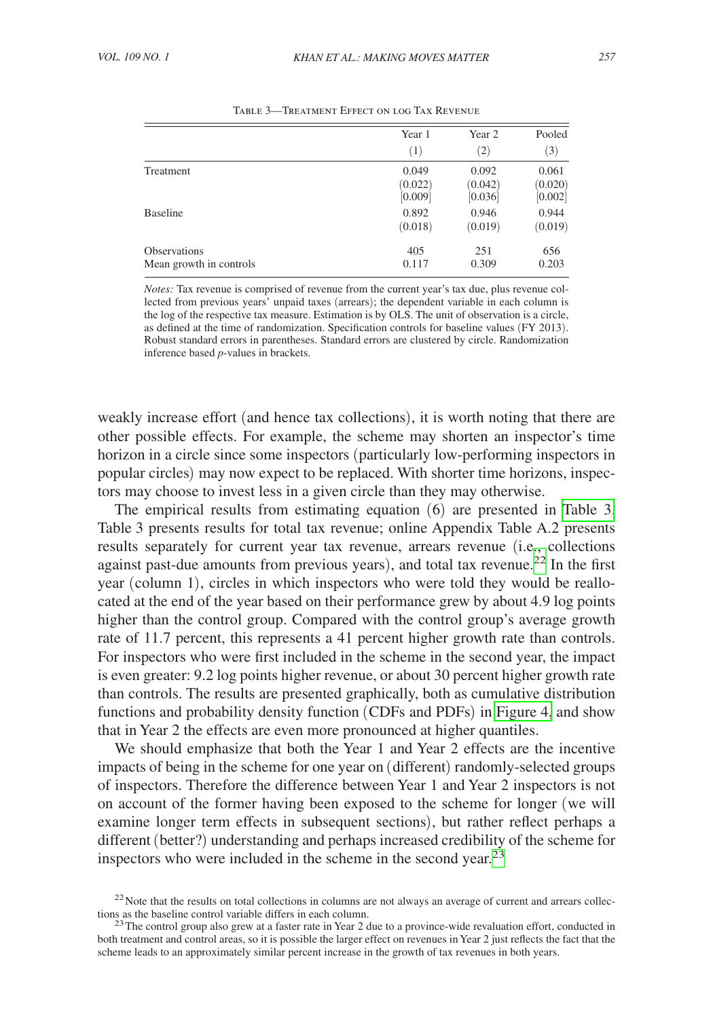|                         | Year 1  | Year 2            | Pooled  |
|-------------------------|---------|-------------------|---------|
|                         | (1)     | $\left( 2\right)$ | (3)     |
| Treatment               | 0.049   | 0.092             | 0.061   |
|                         | (0.022) | (0.042)           | (0.020) |
|                         | [0.009] | [0.036]           | [0.002] |
| Baseline                | 0.892   | 0.946             | 0.944   |
|                         | (0.018) | (0.019)           | (0.019) |
| <b>Observations</b>     | 405     | 251               | 656     |
| Mean growth in controls | 0.117   | 0.309             | 0.203   |

Table 3—Treatment Effect on log Tax Revenue

*Notes:* Tax revenue is comprised of revenue from the current year's tax due, plus revenue collected from previous years' unpaid taxes (arrears); the dependent variable in each column is the log of the respective tax measure. Estimation is by OLS. The unit of observation is a circle, as defined at the time of randomization. Specification controls for baseline values (FY 2013). Robust standard errors in parentheses. Standard errors are clustered by circle. Randomization inference based *p*-values in brackets.

weakly increase effort (and hence tax collections), it is worth noting that there are other possible effects. For example, the scheme may shorten an inspector's time horizon in a circle since some inspectors (particularly low-performing inspectors in popular circles) may now expect to be replaced. With shorter time horizons, inspectors may choose to invest less in a given circle than they may otherwise.

The empirical results from estimating equation (6) are presented in Table 3. Table 3 presents results for total tax revenue; online Appendix Table A.2 presents results separately for current year tax revenue, arrears revenue (i.e., collections against past-due amounts from previous years), and total tax revenue.<sup>[22](#page-20-0)</sup> In the first year (column 1), circles in which inspectors who were told they would be reallocated at the end of the year based on their performance grew by about 4.9 log points higher than the control group. Compared with the control group's average growth rate of 11.7 percent, this represents a 41 percent higher growth rate than controls. For inspectors who were first included in the scheme in the second year, the impact is even greater: 9.2 log points higher revenue, or about 30 percent higher growth rate than controls. The results are presented graphically, both as cumulative distribution functions and probability density function (CDFs and PDFs) in [Figure](#page-21-0) 4, and show that in Year 2 the effects are even more pronounced at higher quantiles.

We should emphasize that both the Year 1 and Year 2 effects are the incentive impacts of being in the scheme for one year on (different) randomly-selected groups of inspectors. Therefore the difference between Year 1 and Year 2 inspectors is not on account of the former having been exposed to the scheme for longer (we will examine longer term effects in subsequent sections), but rather reflect perhaps a different (better?) understanding and perhaps increased credibility of the scheme for inspectors who were included in the scheme in the second year.[23](#page-20-1)

<span id="page-20-0"></span> $^{22}$  Note that the results on total collections in columns are not always an average of current and arrears collections as the baseline control variable differs in each column.

<span id="page-20-1"></span><sup>&</sup>lt;sup>23</sup>The control group also grew at a faster rate in Year 2 due to a province-wide revaluation effort, conducted in both treatment and control areas, so it is possible the larger effect on revenues in Year 2 just reflects the fact that the scheme leads to an approximately similar percent increase in the growth of tax revenues in both years.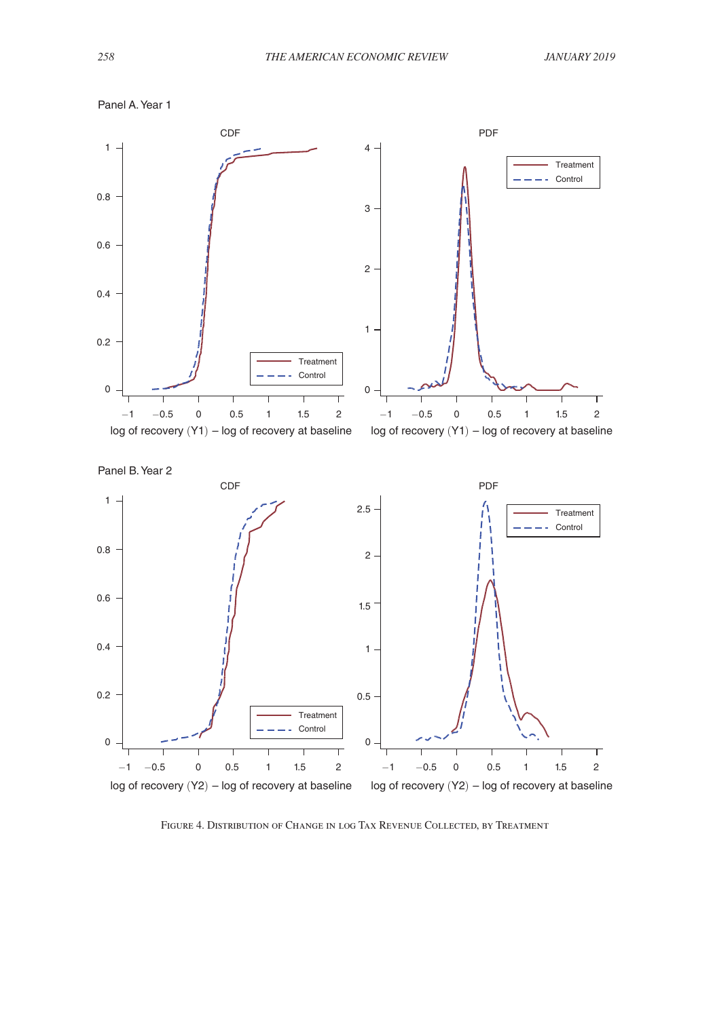

Figure 4. Distribution of Change in log Tax Revenue Collected, by Treatment

log of recovery (Y2) – log of recovery at baseline log of recovery (Y2) – log of recovery at baseline

<span id="page-21-0"></span>Panel A. Year 1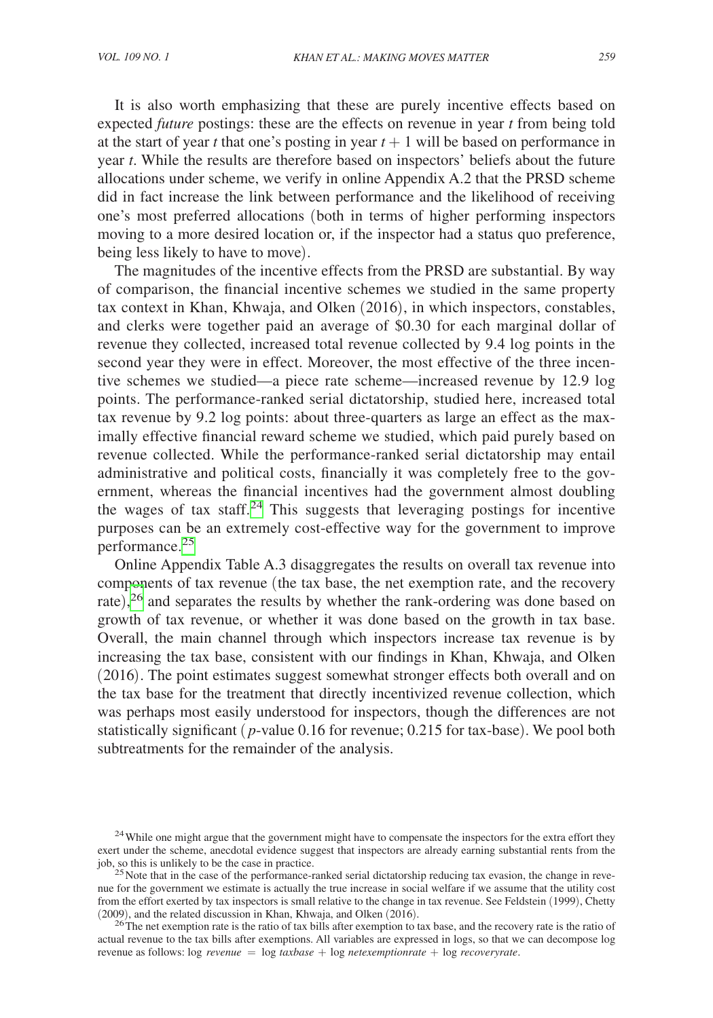It is also worth emphasizing that these are purely incentive effects based on expected *future* postings: these are the effects on revenue in year *t* from being told at the start of year *t* that one's posting in year  $t + 1$  will be based on performance in year *t*. While the results are therefore based on inspectors' beliefs about the future allocations under scheme, we verify in online Appendix A.2 that the PRSD scheme did in fact increase the link between performance and the likelihood of receiving one's most preferred allocations (both in terms of higher performing inspectors moving to a more desired location or, if the inspector had a status quo preference, being less likely to have to move).

The magnitudes of the incentive effects from the PRSD are substantial. By way of comparison, the financial incentive schemes we studied in the same property tax context in Khan, Khwaja, and Olken (2016), in which inspectors, constables, and clerks were together paid an average of \$0.30 for each marginal dollar of revenue they collected, increased total revenue collected by 9.4 log points in the second year they were in effect. Moreover, the most effective of the three incentive schemes we studied—a piece rate scheme—increased revenue by 12.9 log points. The performance-ranked serial dictatorship, studied here, increased total tax revenue by 9.2 log points: about three-quarters as large an effect as the maximally effective financial reward scheme we studied, which paid purely based on revenue collected. While the performance-ranked serial dictatorship may entail administrative and political costs, financially it was completely free to the government, whereas the financial incentives had the government almost doubling the wages of tax staff.<sup>24</sup> This suggests that leveraging postings for incentive purposes can be an extremely cost-effective way for the government to improve performance.[25](#page-22-1)

Online Appendix Table A.3 disaggregates the results on overall tax revenue into components of tax revenue (the tax base, the net exemption rate, and the recovery rate),<sup>[26](#page-22-2)</sup> and separates the results by whether the rank-ordering was done based on growth of tax revenue, or whether it was done based on the growth in tax base. Overall, the main channel through which inspectors increase tax revenue is by increasing the tax base, consistent with our findings in Khan, Khwaja, and Olken (2016). The point estimates suggest somewhat stronger effects both overall and on the tax base for the treatment that directly incentivized revenue collection, which was perhaps most easily understood for inspectors, though the differences are not statistically significant ( *p*-value 0.16 for revenue; 0.215 for tax-base). We pool both subtreatments for the remainder of the analysis.

<span id="page-22-0"></span><sup>&</sup>lt;sup>24</sup> While one might argue that the government might have to compensate the inspectors for the extra effort they exert under the scheme, anecdotal evidence suggest that inspectors are already earning substantial rents from the job, so this is unlikely to be the case in practice.

<span id="page-22-1"></span> $25$  Note that in the case of the performance-ranked serial dictatorship reducing tax evasion, the change in revenue for the government we estimate is actually the true increase in social welfare if we assume that the utility cost from the effort exerted by tax inspectors is small relative to the change in tax revenue. See Feldstein (1999), Chetty (2009), and the related discussion in Khan, Khwaja, and Olken (2016).

<span id="page-22-2"></span> $^{26}$ The net exemption rate is the ratio of tax bills after exemption to tax base, and the recovery rate is the ratio of actual revenue to the tax bills after exemptions. All variables are expressed in logs, so that we can decompose log revenue as follows: log *revenue* = log *taxbase* + log *netexemptionrate* + log *recoveryrate*.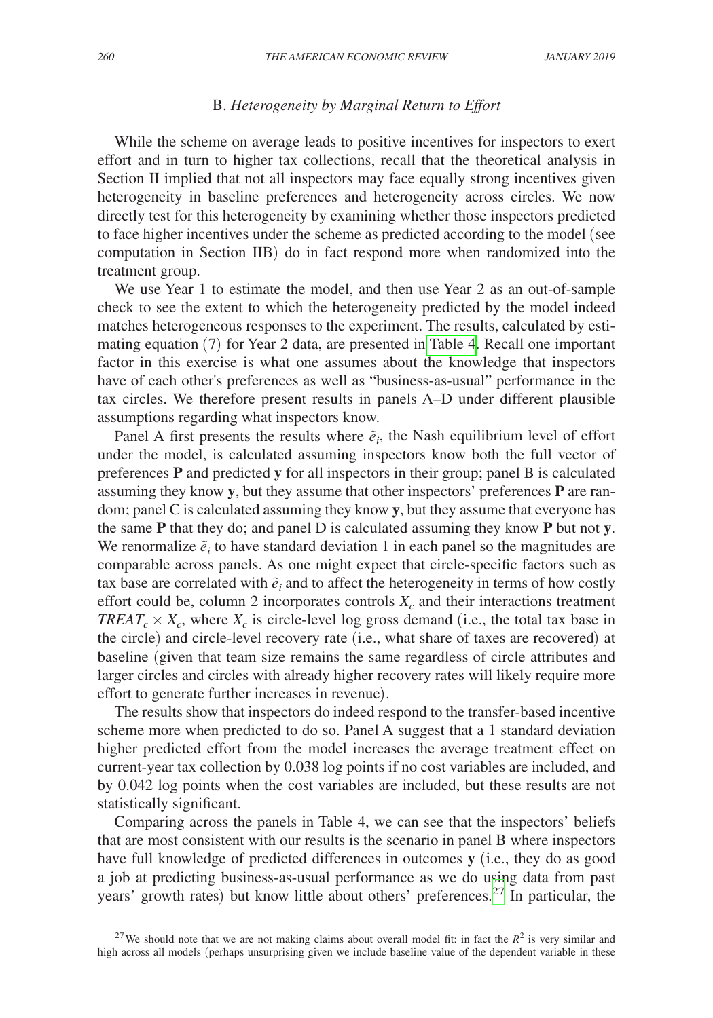## B. *Heterogeneity by Marginal Return to Effort*

While the scheme on average leads to positive incentives for inspectors to exert effort and in turn to higher tax collections, recall that the theoretical analysis in Section II implied that not all inspectors may face equally strong incentives given heterogeneity in baseline preferences and heterogeneity across circles. We now directly test for this heterogeneity by examining whether those inspectors predicted to face higher incentives under the scheme as predicted according to the model (see computation in Section IIB) do in fact respond more when randomized into the treatment group.

We use Year 1 to estimate the model, and then use Year 2 as an out-of-sample check to see the extent to which the heterogeneity predicted by the model indeed matches heterogeneous responses to the experiment. The results, calculated by estimating equation (7) for Year 2 data, are presented in [Table 4.](#page-24-0) Recall one important factor in this exercise is what one assumes about the knowledge that inspectors have of each other's preferences as well as "business-as-usual" performance in the tax circles. We therefore present results in panels A–D under different plausible assumptions regarding what inspectors know.

Panel A first presents the results where  $\tilde{e}_i$ , the Nash equilibrium level of effort under the model, is calculated assuming inspectors know both the full vector of preferences **P** and predicted **y** for all inspectors in their group; panel B is calculated assuming they know **y**, but they assume that other inspectors' preferences **P** are random; panel  $C$  is calculated assuming they know  $y$ , but they assume that everyone has the same **P** that they do; and panel D is calculated assuming they know **P** but not **y**. We renormalize  $\tilde{e}_i$  to have standard deviation 1 in each panel so the magnitudes are comparable across panels. As one might expect that circle-specific factors such as tax base are correlated with  $\tilde{e}_i$  and to affect the heterogeneity in terms of how costly effort could be, column 2 incorporates controls  $X_c$  and their interactions treatment *TREAT<sub>c</sub>*  $\times$  *X<sub>c</sub>*, where *X<sub>c</sub>* is circle-level log gross demand (i.e., the total tax base in the circle) and circle-level recovery rate (i.e., what share of taxes are recovered) at baseline (given that team size remains the same regardless of circle attributes and larger circles and circles with already higher recovery rates will likely require more effort to generate further increases in revenue).

The results show that inspectors do indeed respond to the transfer-based incentive scheme more when predicted to do so. Panel A suggest that a 1 standard deviation higher predicted effort from the model increases the average treatment effect on current-year tax collection by 0.038 log points if no cost variables are included, and by 0.042 log points when the cost variables are included, but these results are not statistically significant.

Comparing across the panels in Table 4, we can see that the inspectors' beliefs that are most consistent with our results is the scenario in panel B where inspectors have full knowledge of predicted differences in outcomes **y** (i.e., they do as good a job at predicting business-as-usual performance as we do using data from past years' growth rates) but know little about others' preferences.<sup>27</sup> In particular, the

<span id="page-23-0"></span><sup>&</sup>lt;sup>27</sup> We should note that we are not making claims about overall model fit: in fact the  $R^2$  is very similar and high across all models (perhaps unsurprising given we include baseline value of the dependent variable in these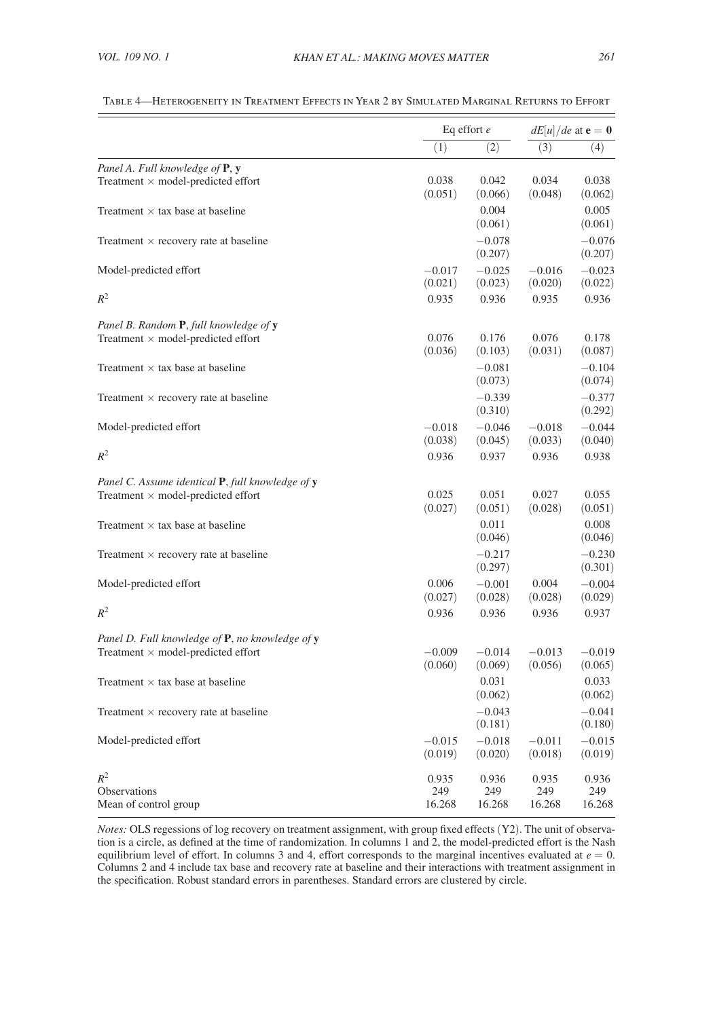<span id="page-24-0"></span>

| TABLE 4—HETEROGENEITY IN TREATMENT EFFECTS IN YEAR 2 BY SIMULATED MARGINAL RETURNS TO EFFORT |  |
|----------------------------------------------------------------------------------------------|--|

|                                                       |                     | Eq effort $e$       |                     | $dE[u]/de$ at $e=0$ |  |
|-------------------------------------------------------|---------------------|---------------------|---------------------|---------------------|--|
|                                                       | (1)                 | (2)                 | $\overline{(3)}$    | (4)                 |  |
| Panel A. Full knowledge of P, y                       |                     |                     |                     |                     |  |
| Treatment $\times$ model-predicted effort             | 0.038<br>(0.051)    | 0.042<br>(0.066)    | 0.034<br>(0.048)    | 0.038<br>(0.062)    |  |
| Treatment $\times$ tax base at baseline               |                     | 0.004<br>(0.061)    |                     | 0.005<br>(0.061)    |  |
| Treatment $\times$ recovery rate at baseline          |                     | $-0.078$<br>(0.207) |                     | $-0.076$<br>(0.207) |  |
| Model-predicted effort                                | $-0.017$<br>(0.021) | $-0.025$<br>(0.023) | $-0.016$<br>(0.020) | $-0.023$<br>(0.022) |  |
| $R^2$                                                 | 0.935               | 0.936               | 0.935               | 0.936               |  |
| Panel B. Random P, full knowledge of y                |                     |                     |                     |                     |  |
| Treatment $\times$ model-predicted effort             | 0.076<br>(0.036)    | 0.176<br>(0.103)    | 0.076<br>(0.031)    | 0.178<br>(0.087)    |  |
| Treatment $\times$ tax base at baseline               |                     | $-0.081$<br>(0.073) |                     | $-0.104$<br>(0.074) |  |
| Treatment $\times$ recovery rate at baseline          |                     | $-0.339$<br>(0.310) |                     | $-0.377$<br>(0.292) |  |
| Model-predicted effort                                | $-0.018$<br>(0.038) | $-0.046$<br>(0.045) | $-0.018$<br>(0.033) | $-0.044$<br>(0.040) |  |
| $R^2$                                                 | 0.936               | 0.937               | 0.936               | 0.938               |  |
| Panel C. Assume identical $P$ , full knowledge of $y$ |                     |                     |                     |                     |  |
| Treatment $\times$ model-predicted effort             | 0.025<br>(0.027)    | 0.051<br>(0.051)    | 0.027<br>(0.028)    | 0.055<br>(0.051)    |  |
| Treatment $\times$ tax base at baseline               |                     | 0.011<br>(0.046)    |                     | 0.008<br>(0.046)    |  |
| Treatment $\times$ recovery rate at baseline          |                     | $-0.217$<br>(0.297) |                     | $-0.230$<br>(0.301) |  |
| Model-predicted effort                                | 0.006<br>(0.027)    | $-0.001$<br>(0.028) | 0.004<br>(0.028)    | $-0.004$<br>(0.029) |  |
| $R^2$                                                 | 0.936               | 0.936               | 0.936               | 0.937               |  |
| Panel D. Full knowledge of P, no knowledge of y       |                     |                     |                     |                     |  |
| Treatment $\times$ model-predicted effort             | $-0.009$<br>(0.060) | $-0.014$<br>(0.069) | $-0.013$<br>(0.056) | $-0.019$<br>(0.065) |  |
| Treatment $\times$ tax base at baseline               |                     | 0.031<br>(0.062)    |                     | 0.033<br>(0.062)    |  |
| Treatment $\times$ recovery rate at baseline          |                     | $-0.043$<br>(0.181) |                     | $-0.041$<br>(0.180) |  |
| Model-predicted effort                                | $-0.015$<br>(0.019) | $-0.018$<br>(0.020) | $-0.011$<br>(0.018) | $-0.015$<br>(0.019) |  |
| $R^2$                                                 | 0.935               | 0.936               | 0.935               | 0.936               |  |
| Observations<br>Mean of control group                 | 249<br>16.268       | 249<br>16.268       | 249<br>16.268       | 249<br>16.268       |  |

*Notes:* OLS regessions of log recovery on treatment assignment, with group fixed effects (Y2). The unit of observation is a circle, as defined at the time of randomization. In columns 1 and 2, the model-predicted effort is the Nash equilibrium level of effort. In columns 3 and 4, effort corresponds to the marginal incentives evaluated at  $e = 0$ . Columns 2 and 4 include tax base and recovery rate at baseline and their interactions with treatment assignment in the specification. Robust standard errors in parentheses. Standard errors are clustered by circle.

 $\bar{z}$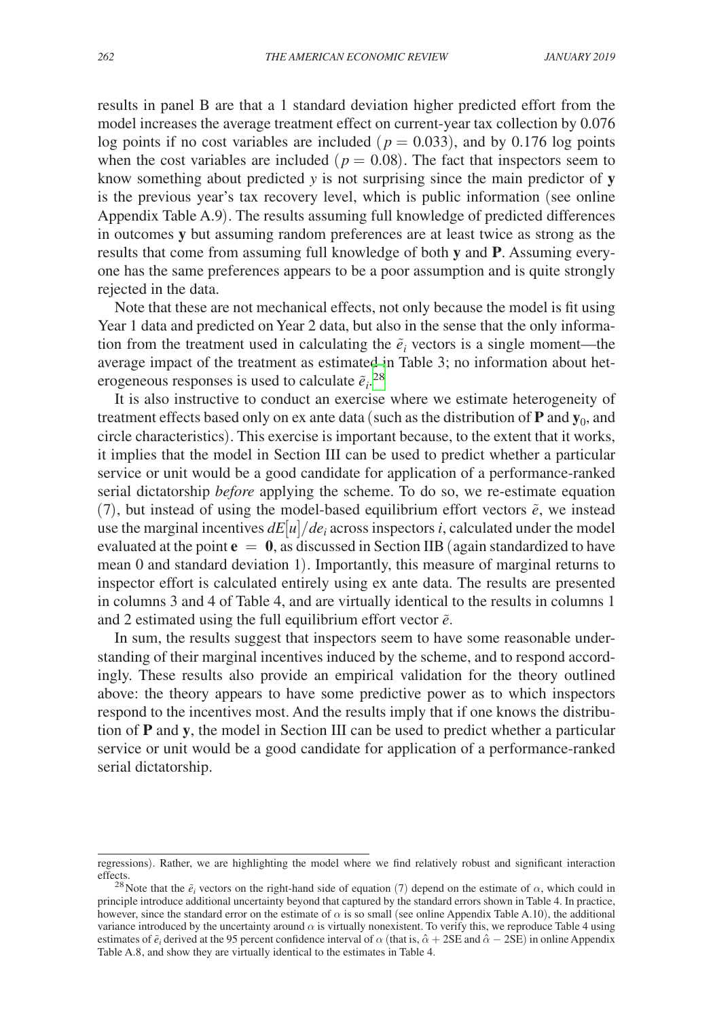results in panel B are that a 1 standard deviation higher predicted effort from the model increases the average treatment effect on current-year tax collection by 0.076 log points if no cost variables are included  $(p = 0.033)$ , and by 0.176 log points when the cost variables are included ( $p = 0.08$ ). The fact that inspectors seem to know something about predicted *y* is not surprising since the main predictor of **y** is the previous year's tax recovery level, which is public information (see online Appendix Table A.9). The results assuming full knowledge of predicted differences in outcomes y but assuming random preferences are at least twice as strong as the results that come from assuming full knowledge of both **y** and **P**. Assuming everyone has the same preferences appears to be a poor assumption and is quite strongly rejected in the data.

Note that these are not mechanical effects, not only because the model is fit using Year 1 data and predicted on Year 2 data, but also in the sense that the only information from the treatment used in calculating the  $\tilde{e}_i$  vectors is a single moment—the average impact of the treatment as estimated in Table 3; no information about heterogeneous responses is used to calculate  $\tilde{e}_i$ <sup>[28](#page-25-0)</sup>

It is also instructive to conduct an exercise where we estimate heterogeneity of treatment effects based only on ex ante data (such as the distribution of  $P$  and  $y_0$ , and circle characteristics). This exercise is important because, to the extent that it works, it implies that the model in Section III can be used to predict whether a particular service or unit would be a good candidate for application of a performance-ranked serial dictatorship *before* applying the scheme. To do so, we re-estimate equation (7), but instead of using the model-based equilibrium effort vectors  $\tilde{e}$ , we instead use the marginal incentives  $dE[u]/de_i$  across inspectors *i*, calculated under the model evaluated at the point  $\mathbf{e} = \mathbf{0}$ , as discussed in Section IIB (again standardized to have mean 0 and standard deviation 1). Importantly, this measure of marginal returns to inspector effort is calculated entirely using ex ante data. The results are presented in columns 3 and 4 of Table 4, and are virtually identical to the results in columns 1 and 2 estimated using the full equilibrium effort vector  $\tilde{e}$ .

In sum, the results suggest that inspectors seem to have some reasonable understanding of their marginal incentives induced by the scheme, and to respond accordingly. These results also provide an empirical validation for the theory outlined above: the theory appears to have some predictive power as to which inspectors respond to the incentives most. And the results imply that if one knows the distribution of **P** and **y**, the model in Section III can be used to predict whether a particular service or unit would be a good candidate for application of a performance-ranked serial dictatorship.

regressions). Rather, we are highlighting the model where we find relatively robust and significant interaction

<span id="page-25-0"></span>effects.<br><sup>28</sup> Note that the  $\tilde{e}_i$  vectors on the right-hand side of equation (7) depend on the estimate of  $\alpha$ , which could in principle introduce additional uncertainty beyond that captured by the standard errors shown in Table 4. In practice, however, since the standard error on the estimate of  $\alpha$  is so small (see online Appendix Table A.10), the additional variance introduced by the uncertainty around  $\alpha$  is virtually nonexistent. To verify this, we reproduce Table 4 using estimates of  $\tilde{e}$  *i* derived at the 95 percent confidence interval of  $\alpha$  (that is,  $\hat{\alpha}$  + 2SE and  $\hat{\alpha}$  – 2SE) in online Appendix Table A.8, and show they are virtually identical to the estimates in Table 4.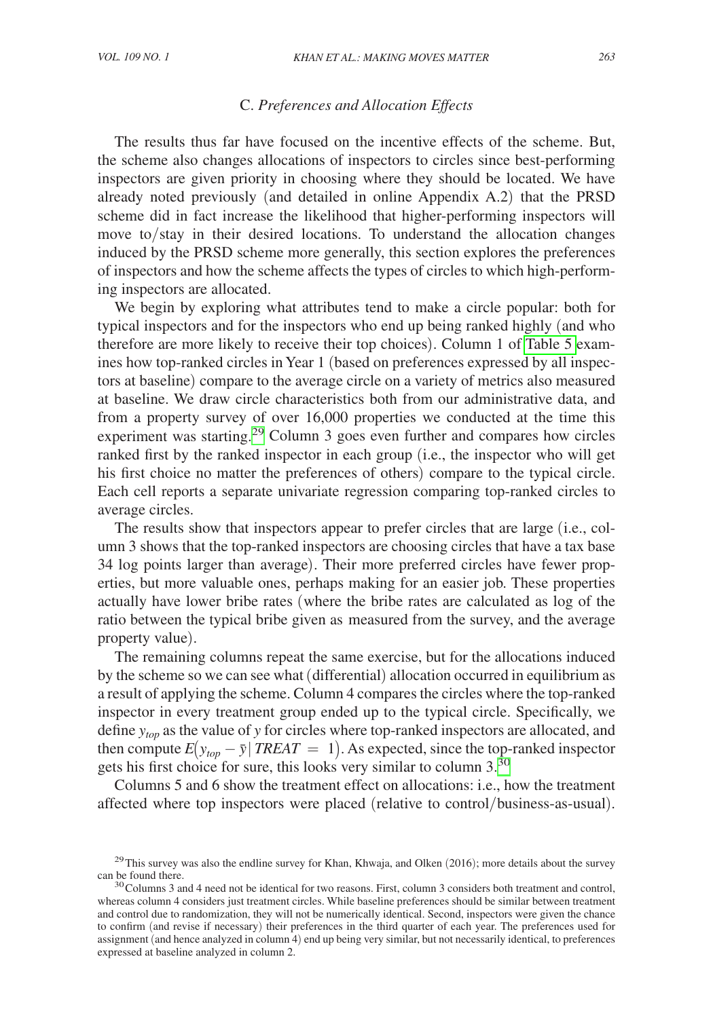## C. *Preferences and Allocation Effects*

The results thus far have focused on the incentive effects of the scheme. But, the scheme also changes allocations of inspectors to circles since best-performing inspectors are given priority in choosing where they should be located. We have already noted previously (and detailed in online Appendix A.2) that the PRSD scheme did in fact increase the likelihood that higher-performing inspectors will move to/stay in their desired locations. To understand the allocation changes induced by the PRSD scheme more generally, this section explores the preferences of inspectors and how the scheme affects the types of circles to which high-performing inspectors are allocated.

We begin by exploring what attributes tend to make a circle popular: both for typical inspectors and for the inspectors who end up being ranked highly (and who therefore are more likely to receive their top choices). Column 1 of [Table 5](#page-27-0) examines how top-ranked circles in Year 1 (based on preferences expressed by all inspectors at baseline) compare to the average circle on a variety of metrics also measured at baseline. We draw circle characteristics both from our administrative data, and from a property survey of over 16,000 properties we conducted at the time this experiment was starting.<sup>29</sup> Column 3 goes even further and compares how circles ranked first by the ranked inspector in each group (i.e., the inspector who will get his first choice no matter the preferences of others) compare to the typical circle. Each cell reports a separate univariate regression comparing top-ranked circles to average circles.

The results show that inspectors appear to prefer circles that are large (i.e., column 3 shows that the top-ranked inspectors are choosing circles that have a tax base 34 log points larger than average). Their more preferred circles have fewer properties, but more valuable ones, perhaps making for an easier job. These properties actually have lower bribe rates (where the bribe rates are calculated as log of the ratio between the typical bribe given as measured from the survey, and the average property value).

The remaining columns repeat the same exercise, but for the allocations induced by the scheme so we can see what (differential) allocation occurred in equilibrium as a result of applying the scheme. Column 4 compares the circles where the top-ranked inspector in every treatment group ended up to the typical circle. Specifically, we define *ytop* as the value of *y* for circles where top-ranked inspectors are allocated, and then compute  $E(y_{top} - \bar{y} | TREAT = 1)$ . As expected, since the top-ranked inspector gets his first choice for sure, this looks very similar to column 3.<sup>[30](#page-26-1)</sup>

Columns 5 and 6 show the treatment effect on allocations: i.e., how the treatment affected where top inspectors were placed (relative to control/business-as-usual).

<span id="page-26-0"></span><sup>&</sup>lt;sup>29</sup>This survey was also the endline survey for Khan, Khwaja, and Olken  $(2016)$ ; more details about the survey can be found there.

<span id="page-26-1"></span> $30$  Columns 3 and 4 need not be identical for two reasons. First, column 3 considers both treatment and control, whereas column 4 considers just treatment circles. While baseline preferences should be similar between treatment and control due to randomization, they will not be numerically identical. Second, inspectors were given the chance to confirm (and revise if necessary) their preferences in the third quarter of each year. The preferences used for assignment (and hence analyzed in column 4) end up being very similar, but not necessarily identical, to preferences expressed at baseline analyzed in column 2.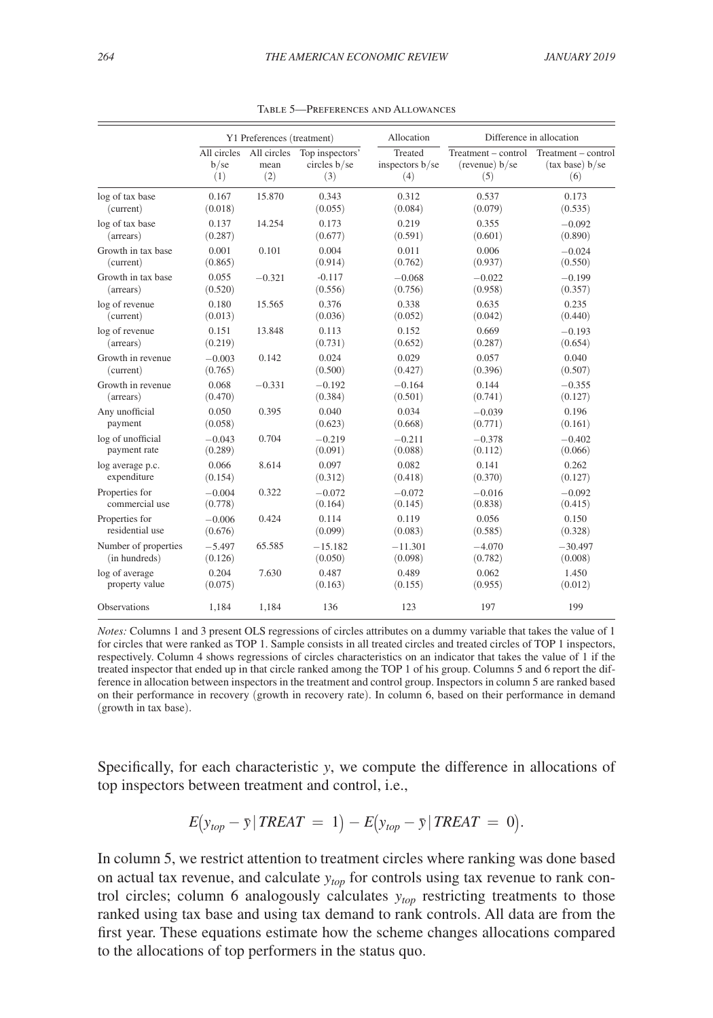<span id="page-27-0"></span>

|                      |             | Y1 Preferences (treatment) |                 | Allocation      | Difference in allocation |                                         |
|----------------------|-------------|----------------------------|-----------------|-----------------|--------------------------|-----------------------------------------|
|                      | All circles | All circles                | Top inspectors' | Treated         | Treatment - control      | Treatment – control                     |
|                      | b/sec       | mean                       | circles b/se    | inspectors b/se | (revenue) b/sec          | $(\text{tax base}) \text{ b}/\text{se}$ |
|                      | (1)         | (2)                        | (3)             | (4)             | (5)                      | (6)                                     |
| log of tax base      | 0.167       | 15.870                     | 0.343           | 0.312           | 0.537                    | 0.173                                   |
| (current)            | (0.018)     |                            | (0.055)         | (0.084)         | (0.079)                  | (0.535)                                 |
| log of tax base      | 0.137       | 14.254                     | 0.173           | 0.219           | 0.355                    | $-0.092$                                |
| (arrears)            | (0.287)     |                            | (0.677)         | (0.591)         | (0.601)                  | (0.890)                                 |
| Growth in tax base   | 0.001       | 0.101                      | 0.004           | 0.011           | 0.006                    | $-0.024$                                |
| (current)            | (0.865)     |                            | (0.914)         | (0.762)         | (0.937)                  | (0.550)                                 |
| Growth in tax base   | 0.055       | $-0.321$                   | $-0.117$        | $-0.068$        | $-0.022$                 | $-0.199$                                |
| (arrears)            | (0.520)     |                            | (0.556)         | (0.756)         | (0.958)                  | (0.357)                                 |
| log of revenue       | 0.180       | 15.565                     | 0.376           | 0.338           | 0.635                    | 0.235                                   |
| (current)            | (0.013)     |                            | (0.036)         | (0.052)         | (0.042)                  | (0.440)                                 |
| log of revenue       | 0.151       | 13.848                     | 0.113           | 0.152           | 0.669                    | $-0.193$                                |
| (arrears)            | (0.219)     |                            | (0.731)         | (0.652)         | (0.287)                  | (0.654)                                 |
| Growth in revenue    | $-0.003$    | 0.142                      | 0.024           | 0.029           | 0.057                    | 0.040                                   |
| (current)            | (0.765)     |                            | (0.500)         | (0.427)         | (0.396)                  | (0.507)                                 |
| Growth in revenue    | 0.068       | $-0.331$                   | $-0.192$        | $-0.164$        | 0.144                    | $-0.355$                                |
| (arrears)            | (0.470)     |                            | (0.384)         | (0.501)         | (0.741)                  | (0.127)                                 |
| Any unofficial       | 0.050       | 0.395                      | 0.040           | 0.034           | $-0.039$                 | 0.196                                   |
| payment              | (0.058)     |                            | (0.623)         | (0.668)         | (0.771)                  | (0.161)                                 |
| log of unofficial    | $-0.043$    | 0.704                      | $-0.219$        | $-0.211$        | $-0.378$                 | $-0.402$                                |
| payment rate         | (0.289)     |                            | (0.091)         | (0.088)         | (0.112)                  | (0.066)                                 |
| log average p.c.     | 0.066       | 8.614                      | 0.097           | 0.082           | 0.141                    | 0.262                                   |
| expenditure          | (0.154)     |                            | (0.312)         | (0.418)         | (0.370)                  | (0.127)                                 |
| Properties for       | $-0.004$    | 0.322                      | $-0.072$        | $-0.072$        | $-0.016$                 | $-0.092$                                |
| commercial use       | (0.778)     |                            | (0.164)         | (0.145)         | (0.838)                  | (0.415)                                 |
| Properties for       | $-0.006$    | 0.424                      | 0.114           | 0.119           | 0.056                    | 0.150                                   |
| residential use      | (0.676)     |                            | (0.099)         | (0.083)         | (0.585)                  | (0.328)                                 |
| Number of properties | $-5.497$    | 65.585                     | $-15.182$       | $-11.301$       | $-4.070$                 | $-30.497$                               |
| (in hundreds)        | (0.126)     |                            | (0.050)         | (0.098)         | (0.782)                  | (0.008)                                 |
| log of average       | 0.204       | 7.630                      | 0.487           | 0.489           | 0.062                    | 1.450                                   |
| property value       | (0.075)     |                            | (0.163)         | (0.155)         | (0.955)                  | (0.012)                                 |
| <b>Observations</b>  | 1,184       | 1.184                      | 136             | 123             | 197                      | 199                                     |

Table 5—Preferences and Allowances

*Notes:* Columns 1 and 3 present OLS regressions of circles attributes on a dummy variable that takes the value of 1 for circles that were ranked as TOP 1. Sample consists in all treated circles and treated circles of TOP 1 inspectors, respectively. Column 4 shows regressions of circles characteristics on an indicator that takes the value of 1 if the treated inspector that ended up in that circle ranked among the TOP 1 of his group. Columns 5 and 6 report the difference in allocation between inspectors in the treatment and control group. Inspectors in column 5 are ranked based on their performance in recovery (growth in recovery rate). In column 6, based on their performance in demand (growth in tax base).

Specifically, for each characteristic *y*, we compute the difference in allocations of top inspectors between treatment and control, i.e.,

$$
E(y_{top} - \bar{y}) \, TREAT = 1) - E(y_{top} - \bar{y}) \, TREAT = 0).
$$

In column 5, we restrict attention to treatment circles where ranking was done based on actual tax revenue, and calculate *ytop* for controls using tax revenue to rank control circles; column 6 analogously calculates  $y_{top}$  restricting treatments to those ranked using tax base and using tax demand to rank controls. All data are from the first year. These equations estimate how the scheme changes allocations compared to the allocations of top performers in the status quo.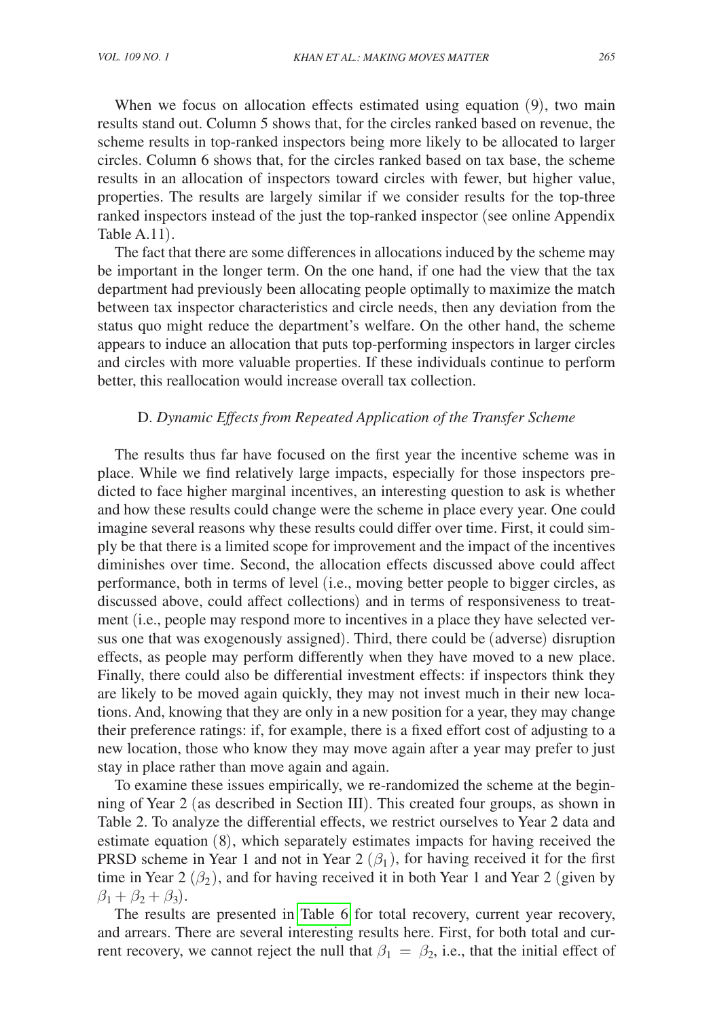When we focus on allocation effects estimated using equation (9), two main results stand out. Column 5 shows that, for the circles ranked based on revenue, the scheme results in top-ranked inspectors being more likely to be allocated to larger circles. Column 6 shows that, for the circles ranked based on tax base, the scheme results in an allocation of inspectors toward circles with fewer, but higher value, properties. The results are largely similar if we consider results for the top-three ranked inspectors instead of the just the top-ranked inspector (see online Appendix Table A.11).

The fact that there are some differences in allocations induced by the scheme may be important in the longer term. On the one hand, if one had the view that the tax department had previously been allocating people optimally to maximize the match between tax inspector characteristics and circle needs, then any deviation from the status quo might reduce the department's welfare. On the other hand, the scheme appears to induce an allocation that puts top-performing inspectors in larger circles and circles with more valuable properties. If these individuals continue to perform better, this reallocation would increase overall tax collection.

# D. *Dynamic Effects from Repeated Application of the Transfer Scheme*

The results thus far have focused on the first year the incentive scheme was in place. While we find relatively large impacts, especially for those inspectors predicted to face higher marginal incentives, an interesting question to ask is whether and how these results could change were the scheme in place every year. One could imagine several reasons why these results could differ over time. First, it could simply be that there is a limited scope for improvement and the impact of the incentives diminishes over time. Second, the allocation effects discussed above could affect performance, both in terms of level (i.e., moving better people to bigger circles, as discussed above, could affect collections) and in terms of responsiveness to treatment (i.e., people may respond more to incentives in a place they have selected versus one that was exogenously assigned). Third, there could be (adverse) disruption effects, as people may perform differently when they have moved to a new place. Finally, there could also be differential investment effects: if inspectors think they are likely to be moved again quickly, they may not invest much in their new locations. And, knowing that they are only in a new position for a year, they may change their preference ratings: if, for example, there is a fixed effort cost of adjusting to a new location, those who know they may move again after a year may prefer to just stay in place rather than move again and again.

To examine these issues empirically, we re-randomized the scheme at the beginning of Year 2 (as described in Section III). This created four groups, as shown in Table 2. To analyze the differential effects, we restrict ourselves to Year 2 data and estimate equation (8), which separately estimates impacts for having received the PRSD scheme in Year 1 and not in Year 2  $(\beta_1)$ , for having received it for the first time in Year 2  $(\beta_2)$ , and for having received it in both Year 1 and Year 2 (given by  $\beta_1 + \beta_2 + \beta_3$ ).

The results are presented in [Table 6](#page-29-0) for total recovery, current year recovery, and arrears. There are several interesting results here. First, for both total and current recovery, we cannot reject the null that  $\beta_1 = \beta_2$ , i.e., that the initial effect of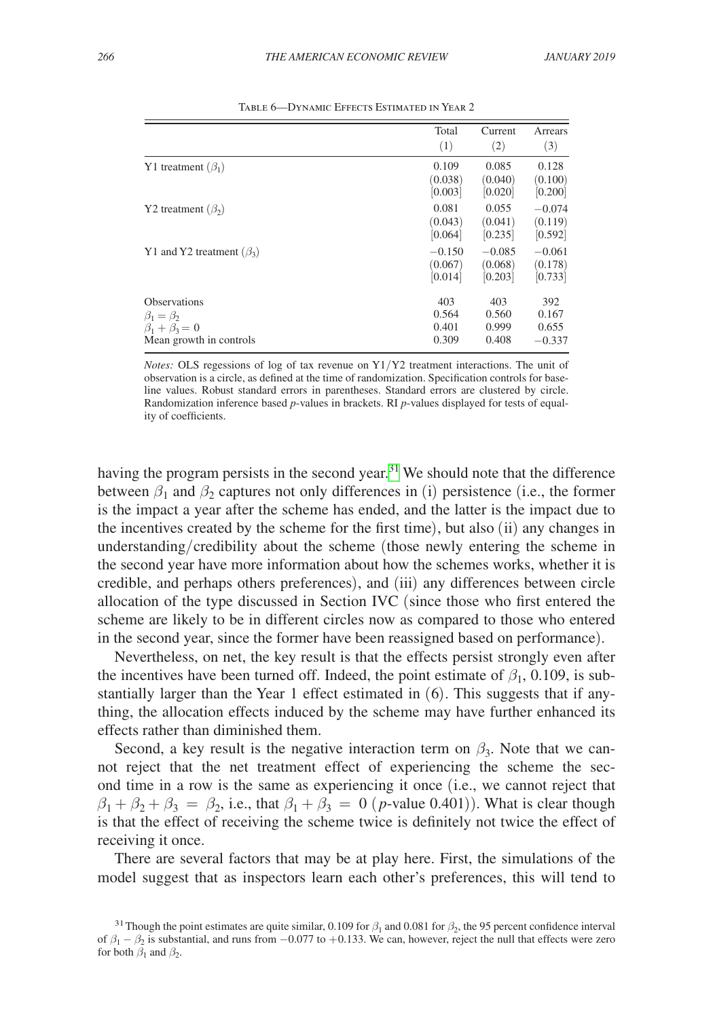<span id="page-29-0"></span>

|                                 | Total    | Current  | Arrears  |
|---------------------------------|----------|----------|----------|
|                                 | (1)      | (2)      | (3)      |
| Y1 treatment $(\beta_1)$        | 0.109    | 0.085    | 0.128    |
|                                 | (0.038)  | (0.040)  | (0.100)  |
|                                 | [0.003]  | [0.020]  | [0.200]  |
| Y2 treatment $(\beta_2)$        | 0.081    | 0.055    | $-0.074$ |
|                                 | (0.043)  | (0.041)  | (0.119)  |
|                                 | [0.064]  | [0.235]  | [0.592]  |
| Y1 and Y2 treatment $(\beta_3)$ | $-0.150$ | $-0.085$ | $-0.061$ |
|                                 | (0.067)  | (0.068)  | (0.178)  |
|                                 | [0.014]  | [0.203]  | [0.733]  |
| <b>Observations</b>             | 403      | 403      | 392      |
| $\beta_1 = \beta_2$             | 0.564    | 0.560    | 0.167    |
| $\beta_1 + \beta_3 = 0$         | 0.401    | 0.999    | 0.655    |
| Mean growth in controls         | 0.309    | 0.408    | $-0.337$ |

Table 6—Dynamic Effects Estimated in Year 2

*Notes:* OLS regessions of log of tax revenue on Y1/Y2 treatment interactions. The unit of observation is a circle, as defined at the time of randomization. Specification controls for baseline values. Robust standard errors in parentheses. Standard errors are clustered by circle. Randomization inference based *p*-values in brackets. RI *p*-values displayed for tests of equality of coefficients.

having the program persists in the second year.<sup>[31](#page-29-1)</sup> We should note that the difference between  $\beta_1$  and  $\beta_2$  captures not only differences in (i) persistence (i.e., the former is the impact a year after the scheme has ended, and the latter is the impact due to the incentives created by the scheme for the first time), but also (ii) any changes in understanding/credibility about the scheme (those newly entering the scheme in the second year have more information about how the schemes works, whether it is credible, and perhaps others preferences), and (iii) any differences between circle allocation of the type discussed in Section IVC (since those who first entered the scheme are likely to be in different circles now as compared to those who entered in the second year, since the former have been reassigned based on performance).

Nevertheless, on net, the key result is that the effects persist strongly even after the incentives have been turned off. Indeed, the point estimate of  $\beta_1$ , 0.109, is substantially larger than the Year 1 effect estimated in  $(6)$ . This suggests that if anything, the allocation effects induced by the scheme may have further enhanced its effects rather than diminished them.

Second, a key result is the negative interaction term on  $\beta_3$ . Note that we cannot reject that the net treatment effect of experiencing the scheme the second time in a row is the same as experiencing it once (i.e., we cannot reject that  $\beta_1 + \beta_2 + \beta_3 = \beta_2$ , i.e., that  $\beta_1 + \beta_3 = 0$  (*p*-value 0.401)). What is clear though is that the effect of receiving the scheme twice is definitely not twice the effect of receiving it once.

There are several factors that may be at play here. First, the simulations of the model suggest that as inspectors learn each other's preferences, this will tend to

<span id="page-29-1"></span><sup>&</sup>lt;sup>31</sup>Though the point estimates are quite similar, 0.109 for  $\beta_1$  and 0.081 for  $\beta_2$ , the 95 percent confidence interval of  $\beta_1 - \beta_2$  is substantial, and runs from −0.077 to +0.133. We can, however, reject the null that effects were zero for both  $\beta_1$  and  $\beta_2$ .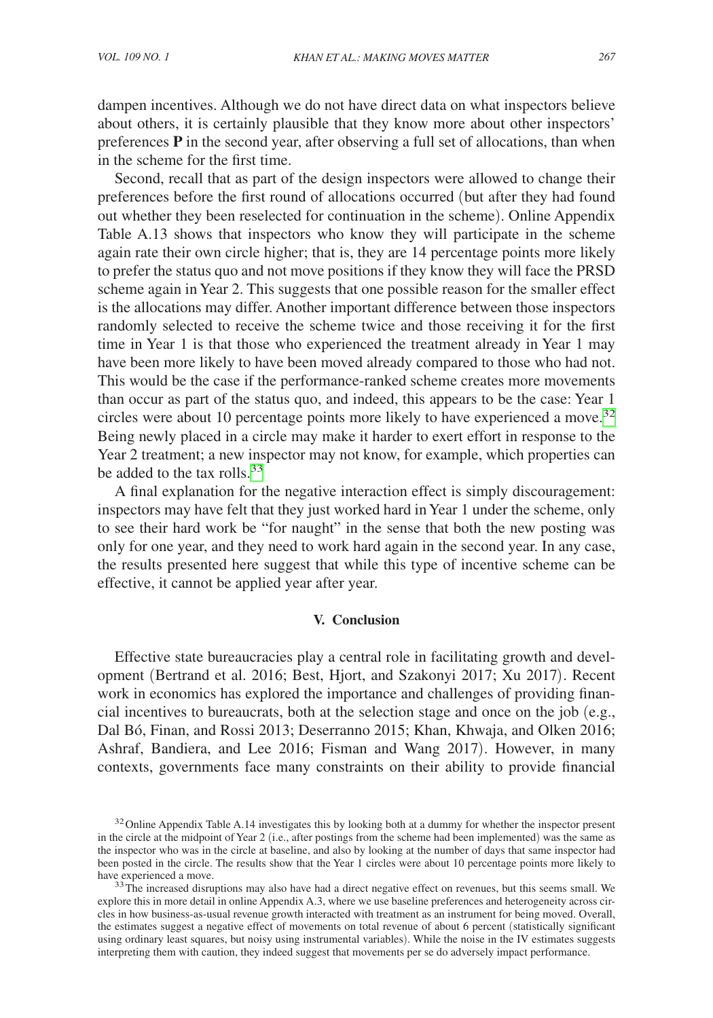dampen incentives. Although we do not have direct data on what inspectors believe about others, it is certainly plausible that they know more about other inspectors' preferences **P** in the second year, after observing a full set of allocations, than when in the scheme for the first time.

Second, recall that as part of the design inspectors were allowed to change their preferences before the first round of allocations occurred (but after they had found out whether they been reselected for continuation in the scheme). Online Appendix Table A.13 shows that inspectors who know they will participate in the scheme again rate their own circle higher; that is, they are 14 percentage points more likely to prefer the status quo and not move positions if they know they will face the PRSD scheme again in Year 2. This suggests that one possible reason for the smaller effect is the allocations may differ. Another important difference between those inspectors randomly selected to receive the scheme twice and those receiving it for the first time in Year 1 is that those who experienced the treatment already in Year 1 may have been more likely to have been moved already compared to those who had not. This would be the case if the performance-ranked scheme creates more movements than occur as part of the status quo, and indeed, this appears to be the case: Year 1 circles were about 10 percentage points more likely to have experienced a move.<sup>32</sup> Being newly placed in a circle may make it harder to exert effort in response to the Year 2 treatment; a new inspector may not know, for example, which properties can be added to the tax rolls.<sup>[33](#page-30-1)</sup>

A final explanation for the negative interaction effect is simply discouragement: inspectors may have felt that they just worked hard in Year 1 under the scheme, only to see their hard work be "for naught" in the sense that both the new posting was only for one year, and they need to work hard again in the second year. In any case, the results presented here suggest that while this type of incentive scheme can be effective, it cannot be applied year after year.

## **V. Conclusion**

Effective state bureaucracies play a central role in facilitating growth and development (Bertrand et al. 2016; Best, Hjort, and Szakonyi 2017; Xu 2017). Recent work in economics has explored the importance and challenges of providing financial incentives to bureaucrats, both at the selection stage and once on the job (e.g., Dal Bó, Finan, and Rossi 2013; Deserranno 2015; Khan, Khwaja, and Olken 2016; Ashraf, Bandiera, and Lee 2016; Fisman and Wang 2017). However, in many contexts, governments face many constraints on their ability to provide financial

<span id="page-30-0"></span> $32$  Online Appendix Table A.14 investigates this by looking both at a dummy for whether the inspector present in the circle at the midpoint of Year 2 (i.e., after postings from the scheme had been implemented) was the same as the inspector who was in the circle at baseline, and also by looking at the number of days that same inspector had been posted in the circle. The results show that the Year 1 circles were about 10 percentage points more likely to

<span id="page-30-1"></span>have experienced a move.<br><sup>33</sup>The increased disruptions may also have had a direct negative effect on revenues, but this seems small. We explore this in more detail in online Appendix A.3, where we use baseline preferences and heterogeneity across circles in how business-as-usual revenue growth interacted with treatment as an instrument for being moved. Overall, the estimates suggest a negative effect of movements on total revenue of about 6 percent (statistically significant using ordinary least squares, but noisy using instrumental variables). While the noise in the IV estimates suggests interpreting them with caution, they indeed suggest that movements per se do adversely impact performance.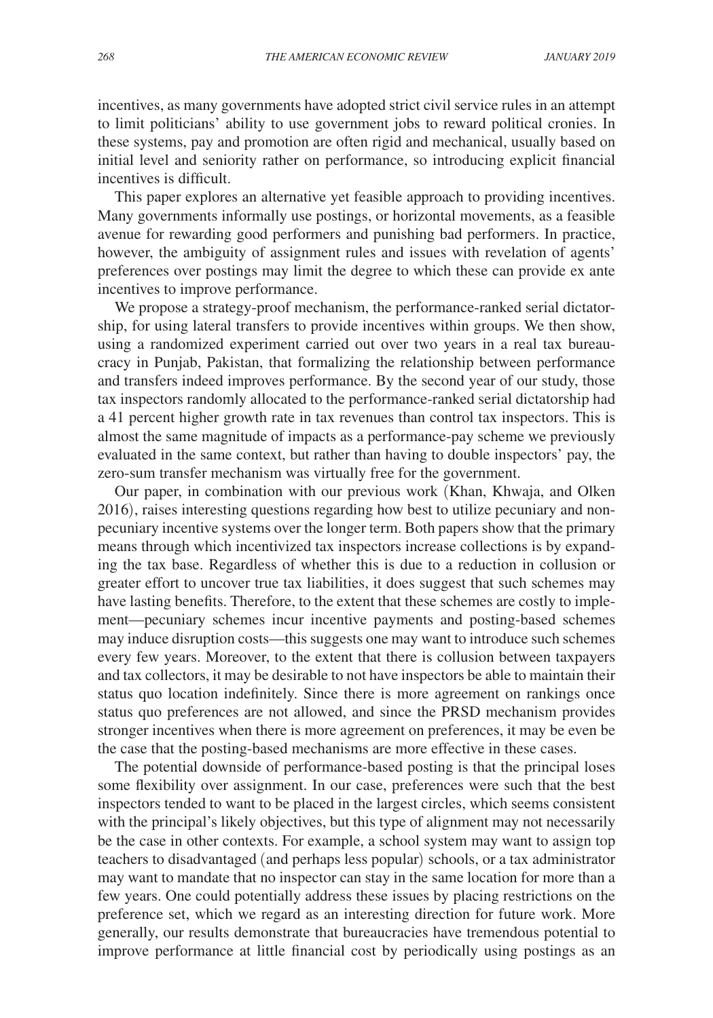incentives, as many governments have adopted strict civil service rules in an attempt to limit politicians' ability to use government jobs to reward political cronies. In these systems, pay and promotion are often rigid and mechanical, usually based on initial level and seniority rather on performance, so introducing explicit financial incentives is difficult.

This paper explores an alternative yet feasible approach to providing incentives. Many governments informally use postings, or horizontal movements, as a feasible avenue for rewarding good performers and punishing bad performers. In practice, however, the ambiguity of assignment rules and issues with revelation of agents' preferences over postings may limit the degree to which these can provide ex ante incentives to improve performance.

We propose a strategy-proof mechanism, the performance-ranked serial dictatorship, for using lateral transfers to provide incentives within groups. We then show, using a randomized experiment carried out over two years in a real tax bureaucracy in Punjab, Pakistan, that formalizing the relationship between performance and transfers indeed improves performance. By the second year of our study, those tax inspectors randomly allocated to the performance-ranked serial dictatorship had a 41 percent higher growth rate in tax revenues than control tax inspectors. This is almost the same magnitude of impacts as a performance-pay scheme we previously evaluated in the same context, but rather than having to double inspectors' pay, the zero-sum transfer mechanism was virtually free for the government.

Our paper, in combination with our previous work (Khan, Khwaja, and Olken 2016), raises interesting questions regarding how best to utilize pecuniary and nonpecuniary incentive systems over the longer term. Both papers show that the primary means through which incentivized tax inspectors increase collections is by expanding the tax base. Regardless of whether this is due to a reduction in collusion or greater effort to uncover true tax liabilities, it does suggest that such schemes may have lasting benefits. Therefore, to the extent that these schemes are costly to implement—pecuniary schemes incur incentive payments and posting-based schemes may induce disruption costs—this suggests one may want to introduce such schemes every few years. Moreover, to the extent that there is collusion between taxpayers and tax collectors, it may be desirable to not have inspectors be able to maintain their status quo location indefinitely. Since there is more agreement on rankings once status quo preferences are not allowed, and since the PRSD mechanism provides stronger incentives when there is more agreement on preferences, it may be even be the case that the posting-based mechanisms are more effective in these cases.

The potential downside of performance-based posting is that the principal loses some flexibility over assignment. In our case, preferences were such that the best inspectors tended to want to be placed in the largest circles, which seems consistent with the principal's likely objectives, but this type of alignment may not necessarily be the case in other contexts. For example, a school system may want to assign top teachers to disadvantaged (and perhaps less popular) schools, or a tax administrator may want to mandate that no inspector can stay in the same location for more than a few years. One could potentially address these issues by placing restrictions on the preference set, which we regard as an interesting direction for future work. More generally, our results demonstrate that bureaucracies have tremendous potential to improve performance at little financial cost by periodically using postings as an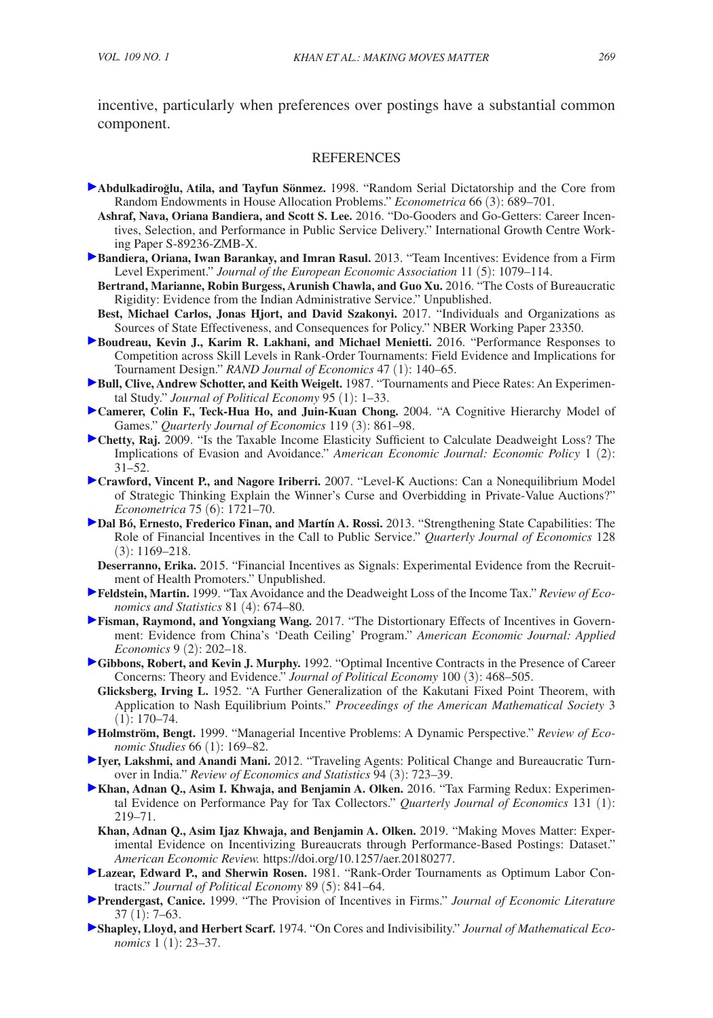incentive, particularly when preferences over postings have a substantial common component.

#### **REFERENCES**

- **Abdulkadirog**˘**lu, Atila, and Tayfun Sönmez.** 1998. "Random Serial Dictatorship and the Core from Random Endowments in House Allocation Problems." *Econometrica* 66 (3): 689–701.
	- **Ashraf, Nava, Oriana Bandiera, and Scott S. Lee.** 2016. "Do-Gooders and Go-Getters: Career Incentives, Selection, and Performance in Public Service Delivery." International Growth Centre Working Paper S-89236-ZMB-X.
- **Bandiera, Oriana, Iwan Barankay, and Imran Rasul.** 2013. "Team Incentives: Evidence from a Firm Level Experiment." *Journal of the European Economic Association* 11 (5): 1079–114.
- **Bertrand, Marianne, Robin Burgess, Arunish Chawla, and Guo Xu.** 2016. "The Costs of Bureaucratic Rigidity: Evidence from the Indian Administrative Service." Unpublished.
- **Best, Michael Carlos, Jonas Hjort, and David Szakonyi.** 2017. "Individuals and Organizations as Sources of State Effectiveness, and Consequences for Policy." NBER Working Paper 23350.
- **Boudreau, Kevin J., Karim R. Lakhani, and Michael Menietti.** 2016. "Performance Responses to Competition across Skill Levels in Rank-Order Tournaments: Field Evidence and Implications for Tournament Design." *RAND Journal of Economics* 47 (1): 140–65.
- **Bull, Clive, Andrew Schotter, and Keith Weigelt.** 1987. "Tournaments and Piece Rates: An Experimental Study." *Journal of Political Economy* 95 (1): 1–33.
- **Camerer, Colin F., Teck-Hua Ho, and Juin-Kuan Chong.** 2004. "A Cognitive Hierarchy Model of Games." *Quarterly Journal of Economics* 119 (3): 861–98.
- **Chetty, Raj.** 2009. "Is the Taxable Income Elasticity Sufficient to Calculate Deadweight Loss? The Implications of Evasion and Avoidance." *American Economic Journal: Economic Policy* 1 (2): 31–52.
- **Crawford, Vincent P., and Nagore Iriberri.** 2007. "Level-K Auctions: Can a Nonequilibrium Model of Strategic Thinking Explain the Winner's Curse and Overbidding in Private-Value Auctions?" *Econometrica* 75 (6): 1721–70.
- **Dal Bó, Ernesto, Frederico Finan, and Martín A. Rossi.** 2013. "Strengthening State Capabilities: The Role of Financial Incentives in the Call to Public Service." *Quarterly Journal of Economics* 128 (3): 1169–218.
	- **Deserranno, Erika.** 2015. "Financial Incentives as Signals: Experimental Evidence from the Recruitment of Health Promoters." Unpublished.
- **Feldstein, Martin.** 1999. "Tax Avoidance and the Deadweight Loss of the Income Tax." *Review of Economics and Statistics* 81 (4): 674–80.
- **Fisman, Raymond, and Yongxiang Wang.** 2017. "The Distortionary Effects of Incentives in Government: Evidence from China's 'Death Ceiling' Program." *American Economic Journal: Applied Economics* 9 (2): 202–18.
- **Gibbons, Robert, and Kevin J. Murphy.** 1992. "Optimal Incentive Contracts in the Presence of Career Concerns: Theory and Evidence." *Journal of Political Economy* 100 (3): 468–505.
	- **Glicksberg, Irving L.** 1952. "A Further Generalization of the Kakutani Fixed Point Theorem, with Application to Nash Equilibrium Points." *Proceedings of the American Mathematical Society* 3  $(1): 170-74.$
- **[H](http://pubs.aeaweb.org/action/showLinks?doi=10.1257%2Faer.20180277&crossref=10.1111%2F1467-937X.00083&citationId=p_17)olmström, Bengt.** 1999. "Managerial Incentive Problems: A Dynamic Perspective." *Review of Economic Studies* 66 (1): 169–82.
- **[I](http://pubs.aeaweb.org/action/showLinks?doi=10.1257%2Faer.20180277&crossref=10.1162%2FREST_a_00183&citationId=p_18)yer, Lakshmi, and Anandi Mani.** 2012. "Traveling Agents: Political Change and Bureaucratic Turnover in India." *Review of Economics and Statistics* 94 (3): 723–39.
- **Khan, Adnan Q., Asim I. Khwaja, and Benjamin A. Olken.** 2016. "Tax Farming Redux: Experimental Evidence on Performance Pay for Tax Collectors." *Quarterly Journal of Economics* 131 (1): 219–71.
	- **Khan, Adnan Q., Asim Ijaz Khwaja, and Benjamin A. Olken.** 2019. "Making Moves Matter: Experimental Evidence on Incentivizing Bureaucrats through Performance-Based Postings: Dataset." *American Economic Review.* https://doi.org/10.1257/aer.20180277.
- **[L](http://pubs.aeaweb.org/action/showLinks?doi=10.1257%2Faer.20180277&crossref=10.1086%2F261010&citationId=p_21)azear, Edward P., and Sherwin Rosen.** 1981. "Rank-Order Tournaments as Optimum Labor Contracts." *Journal of Political Economy* 89 (5): 841–64.
- **[P](http://pubs.aeaweb.org/action/showLinks?doi=10.1257%2Faer.20180277&system=10.1257%2Fjel.37.1.7&citationId=p_22)rendergast, Canice.** 1999. "The Provision of Incentives in Firms." *Journal of Economic Literature* 37 (1): 7–63.
- **[S](http://pubs.aeaweb.org/action/showLinks?doi=10.1257%2Faer.20180277&crossref=10.1016%2F0304-4068%2874%2990033-0&citationId=p_23)hapley, Lloyd, and Herbert Scarf.** 1974. "On Cores and Indivisibility." *Journal of Mathematical Economics* 1 (1): 23–37.